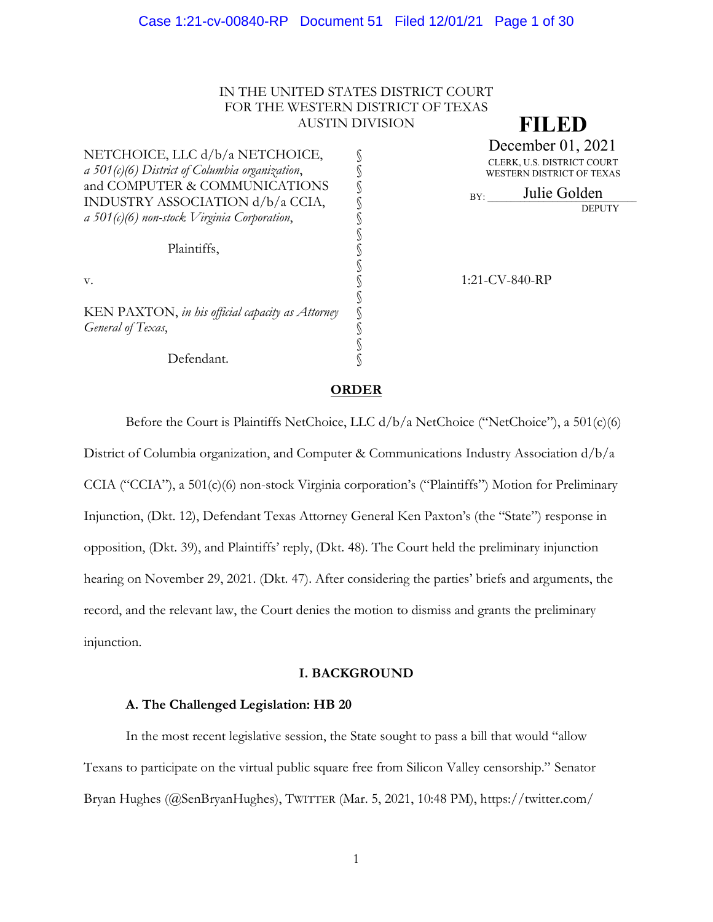## IN THE UNITED STATES DISTRICT COURT FOR THE WESTERN DISTRICT OF TEXAS AUSTIN DIVISION

§

§

§

§

NETCHOICE, LLC d/b/a NETCHOICE, *a 501(c)(6) District of Columbia organization*, § and COMPUTER & COMMUNICATIONS INDUSTRY ASSOCIATION d/b/a CCIA, *a 501(c)(6) non-stock Virginia Corporation*, §

Plaintiffs,

KEN PAXTON, *in his official capacity as Attorney* General of Texas,

Defendant.

**FILED**

CLERK, U.S. DISTRICT COURT WESTERN DISTRICT OF TEXAS **December 01, 2021**<br>CLERK, U.S. DISTRICT COURT<br>WESTERN DISTRICT OF TEXAS<br>BY: Julie Golden

DEPUTY

v. 1:21-CV-840-RP

## **ORDER**

Before the Court is Plaintiffs NetChoice, LLC d/b/a NetChoice ("NetChoice"), a 501(c)(6) District of Columbia organization, and Computer & Communications Industry Association d/b/a CCIA ("CCIA"), a 501(c)(6) non-stock Virginia corporation's ("Plaintiffs") Motion for Preliminary Injunction, (Dkt. 12), Defendant Texas Attorney General Ken Paxton's (the "State") response in opposition, (Dkt. 39), and Plaintiffs' reply, (Dkt. 48). The Court held the preliminary injunction hearing on November 29, 2021. (Dkt. 47). After considering the parties' briefs and arguments, the record, and the relevant law, the Court denies the motion to dismiss and grants the preliminary injunction.

### **I. BACKGROUND**

## **A. The Challenged Legislation: HB 20**

In the most recent legislative session, the State sought to pass a bill that would "allow Texans to participate on the virtual public square free from Silicon Valley censorship." Senator Bryan Hughes (@SenBryanHughes), TWITTER (Mar. 5, 2021, 10:48 PM), https://twitter.com/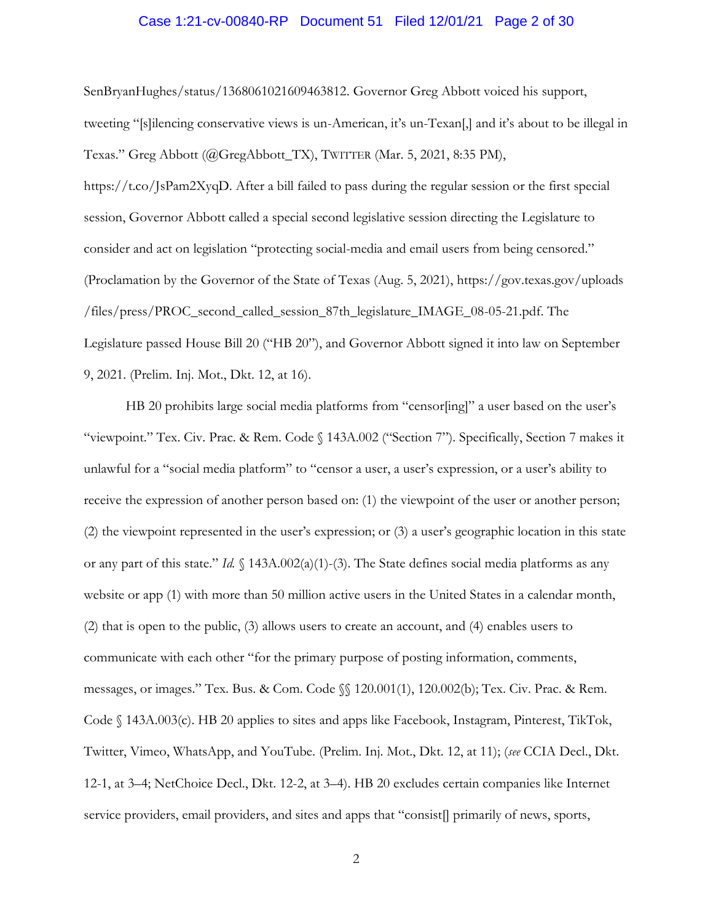#### Case 1:21-cv-00840-RP Document 51 Filed 12/01/21 Page 2 of 30

SenBryanHughes/status/1368061021609463812. Governor Greg Abbott voiced his support, tweeting "[s]ilencing conservative views is un-American, it's un-Texan[,] and it's about to be illegal in Texas." Greg Abbott (@GregAbbott\_TX), TWITTER (Mar. 5, 2021, 8:35 PM), https://t.co/JsPam2XyqD. After a bill failed to pass during the regular session or the first special session, Governor Abbott called a special second legislative session directing the Legislature to

consider and act on legislation "protecting social-media and email users from being censored." (Proclamation by the Governor of the State of Texas (Aug. 5, 2021), https://gov.texas.gov/uploads /files/press/PROC\_second\_called\_session\_87th\_legislature\_IMAGE\_08-05-21.pdf. The Legislature passed House Bill 20 ("HB 20"), and Governor Abbott signed it into law on September 9, 2021. (Prelim. Inj. Mot., Dkt. 12, at 16).

HB 20 prohibits large social media platforms from "censor[ing]" a user based on the user's "viewpoint." Tex. Civ. Prac. & Rem. Code § 143A.002 ("Section 7"). Specifically, Section 7 makes it unlawful for a "social media platform" to "censor a user, a user's expression, or a user's ability to receive the expression of another person based on: (1) the viewpoint of the user or another person; (2) the viewpoint represented in the user's expression; or (3) a user's geographic location in this state or any part of this state." *Id.* § 143A.002(a)(1)-(3). The State defines social media platforms as any website or app (1) with more than 50 million active users in the United States in a calendar month, (2) that is open to the public, (3) allows users to create an account, and (4) enables users to communicate with each other "for the primary purpose of posting information, comments, messages, or images." Tex. Bus. & Com. Code §§ 120.001(1), 120.002(b); Tex. Civ. Prac. & Rem. Code § 143A.003(c). HB 20 applies to sites and apps like Facebook, Instagram, Pinterest, TikTok, Twitter, Vimeo, WhatsApp, and YouTube. (Prelim. Inj. Mot., Dkt. 12, at 11); (*see* CCIA Decl., Dkt. 12-1, at 3–4; NetChoice Decl., Dkt. 12-2, at 3–4). HB 20 excludes certain companies like Internet service providers, email providers, and sites and apps that "consist[] primarily of news, sports,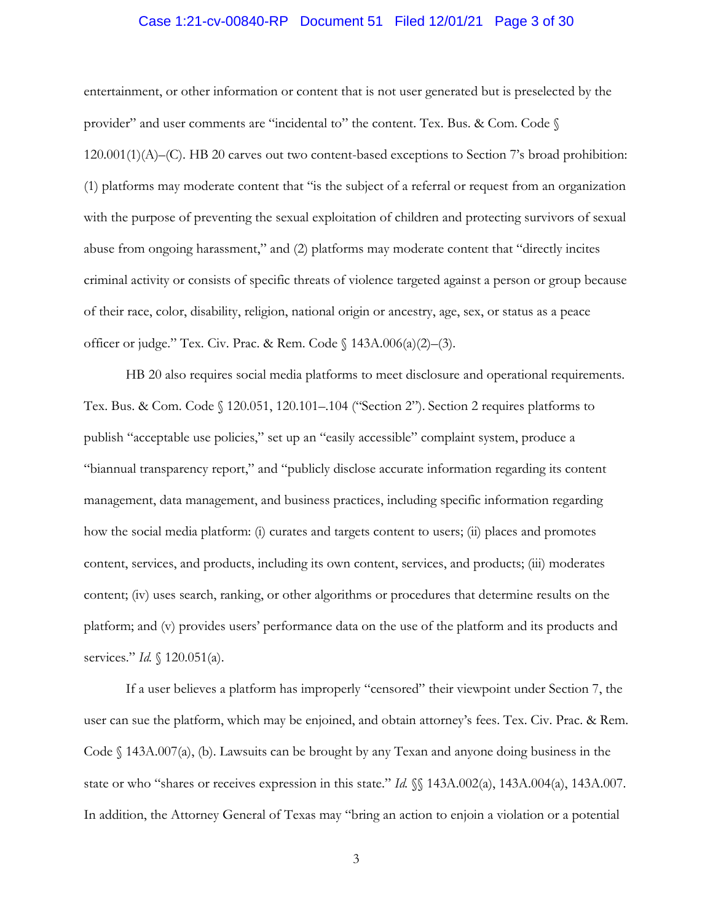## Case 1:21-cv-00840-RP Document 51 Filed 12/01/21 Page 3 of 30

entertainment, or other information or content that is not user generated but is preselected by the provider" and user comments are "incidental to" the content. Tex. Bus. & Com. Code  $\S$ 120.001(1)(A)–(C). HB 20 carves out two content-based exceptions to Section 7's broad prohibition: (1) platforms may moderate content that "is the subject of a referral or request from an organization with the purpose of preventing the sexual exploitation of children and protecting survivors of sexual abuse from ongoing harassment," and (2) platforms may moderate content that "directly incites criminal activity or consists of specific threats of violence targeted against a person or group because of their race, color, disability, religion, national origin or ancestry, age, sex, or status as a peace officer or judge." Tex. Civ. Prac. & Rem. Code § 143A.006(a)(2)–(3).

HB 20 also requires social media platforms to meet disclosure and operational requirements. Tex. Bus. & Com. Code § 120.051, 120.101–.104 ("Section 2"). Section 2 requires platforms to publish "acceptable use policies," set up an "easily accessible" complaint system, produce a "biannual transparency report," and "publicly disclose accurate information regarding its content management, data management, and business practices, including specific information regarding how the social media platform: (i) curates and targets content to users; (ii) places and promotes content, services, and products, including its own content, services, and products; (iii) moderates content; (iv) uses search, ranking, or other algorithms or procedures that determine results on the platform; and (v) provides users' performance data on the use of the platform and its products and services." *Id.* § 120.051(a).

If a user believes a platform has improperly "censored" their viewpoint under Section 7, the user can sue the platform, which may be enjoined, and obtain attorney's fees. Tex. Civ. Prac. & Rem. Code  $\{\frac{143A.007(a)}{b}\}$ . Lawsuits can be brought by any Texan and anyone doing business in the state or who "shares or receives expression in this state." *Id.*  $\mathcal{L}$  143A.002(a), 143A.004(a), 143A.007. In addition, the Attorney General of Texas may "bring an action to enjoin a violation or a potential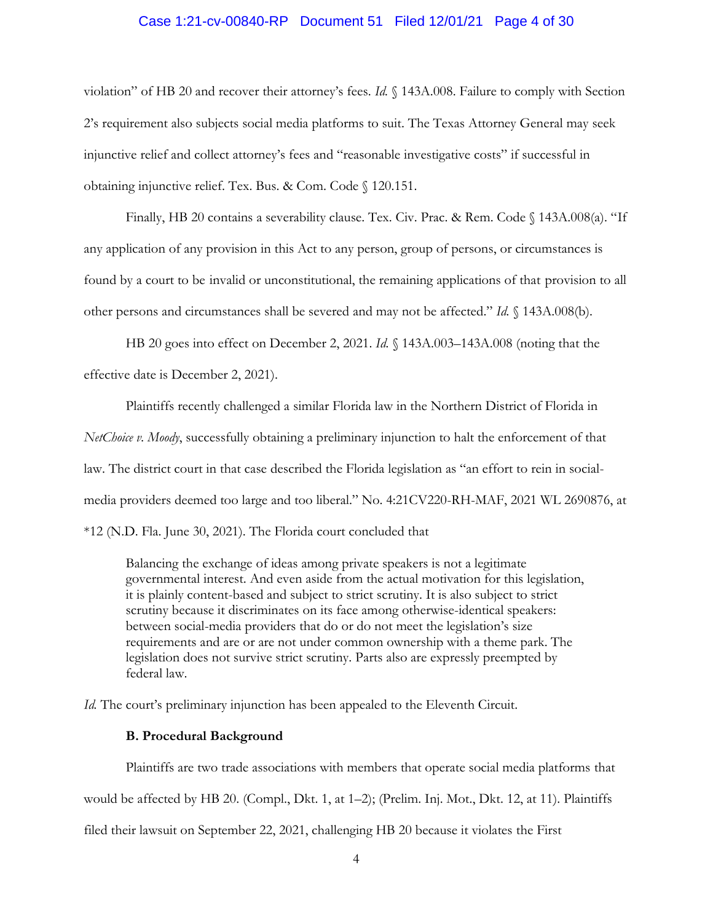#### Case 1:21-cv-00840-RP Document 51 Filed 12/01/21 Page 4 of 30

violation" of HB 20 and recover their attorney's fees. *Id.* § 143A.008. Failure to comply with Section 2's requirement also subjects social media platforms to suit. The Texas Attorney General may seek injunctive relief and collect attorney's fees and "reasonable investigative costs" if successful in obtaining injunctive relief. Tex. Bus. & Com. Code § 120.151.

Finally, HB 20 contains a severability clause. Tex. Civ. Prac. & Rem. Code § 143A.008(a). "If any application of any provision in this Act to any person, group of persons, or circumstances is found by a court to be invalid or unconstitutional, the remaining applications of that provision to all other persons and circumstances shall be severed and may not be affected." *Id.* § 143A.008(b).

HB 20 goes into effect on December 2, 2021. *Id.* § 143A.003–143A.008 (noting that the effective date is December 2, 2021).

Plaintiffs recently challenged a similar Florida law in the Northern District of Florida in *NetChoice v. Moody*, successfully obtaining a preliminary injunction to halt the enforcement of that law. The district court in that case described the Florida legislation as "an effort to rein in socialmedia providers deemed too large and too liberal." No. 4:21CV220-RH-MAF, 2021 WL 2690876, at \*12 (N.D. Fla. June 30, 2021). The Florida court concluded that

Balancing the exchange of ideas among private speakers is not a legitimate governmental interest. And even aside from the actual motivation for this legislation, it is plainly content-based and subject to strict scrutiny. It is also subject to strict scrutiny because it discriminates on its face among otherwise-identical speakers: between social-media providers that do or do not meet the legislation's size requirements and are or are not under common ownership with a theme park. The legislation does not survive strict scrutiny. Parts also are expressly preempted by federal law.

*Id.* The court's preliminary injunction has been appealed to the Eleventh Circuit.

## **B. Procedural Background**

Plaintiffs are two trade associations with members that operate social media platforms that would be affected by HB 20. (Compl., Dkt. 1, at 1–2); (Prelim. Inj. Mot., Dkt. 12, at 11). Plaintiffs filed their lawsuit on September 22, 2021, challenging HB 20 because it violates the First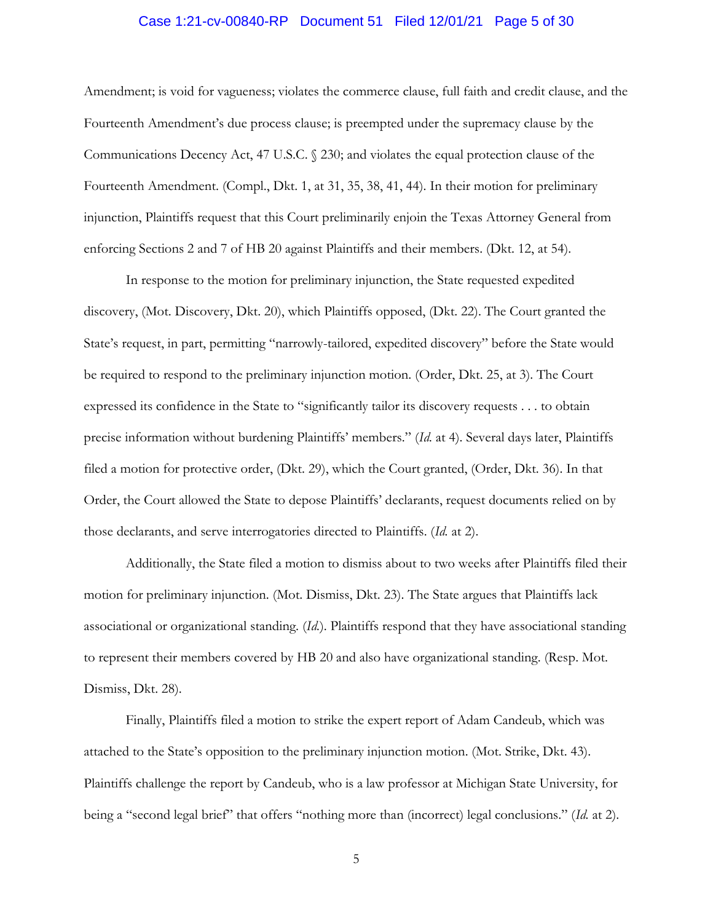## Case 1:21-cv-00840-RP Document 51 Filed 12/01/21 Page 5 of 30

Amendment; is void for vagueness; violates the commerce clause, full faith and credit clause, and the Fourteenth Amendment's due process clause; is preempted under the supremacy clause by the Communications Decency Act, 47 U.S.C. § 230; and violates the equal protection clause of the Fourteenth Amendment. (Compl., Dkt. 1, at 31, 35, 38, 41, 44). In their motion for preliminary injunction, Plaintiffs request that this Court preliminarily enjoin the Texas Attorney General from enforcing Sections 2 and 7 of HB 20 against Plaintiffs and their members. (Dkt. 12, at 54).

In response to the motion for preliminary injunction, the State requested expedited discovery, (Mot. Discovery, Dkt. 20), which Plaintiffs opposed, (Dkt. 22). The Court granted the State's request, in part, permitting "narrowly-tailored, expedited discovery" before the State would be required to respond to the preliminary injunction motion. (Order, Dkt. 25, at 3). The Court expressed its confidence in the State to "significantly tailor its discovery requests . . . to obtain precise information without burdening Plaintiffs' members." (*Id.* at 4). Several days later, Plaintiffs filed a motion for protective order, (Dkt. 29), which the Court granted, (Order, Dkt. 36). In that Order, the Court allowed the State to depose Plaintiffs' declarants, request documents relied on by those declarants, and serve interrogatories directed to Plaintiffs. (*Id.* at 2).

Additionally, the State filed a motion to dismiss about to two weeks after Plaintiffs filed their motion for preliminary injunction. (Mot. Dismiss, Dkt. 23). The State argues that Plaintiffs lack associational or organizational standing. (*Id.*). Plaintiffs respond that they have associational standing to represent their members covered by HB 20 and also have organizational standing. (Resp. Mot. Dismiss, Dkt. 28).

Finally, Plaintiffs filed a motion to strike the expert report of Adam Candeub, which was attached to the State's opposition to the preliminary injunction motion. (Mot. Strike, Dkt. 43). Plaintiffs challenge the report by Candeub, who is a law professor at Michigan State University, for being a "second legal brief" that offers "nothing more than (incorrect) legal conclusions." (*Id.* at 2).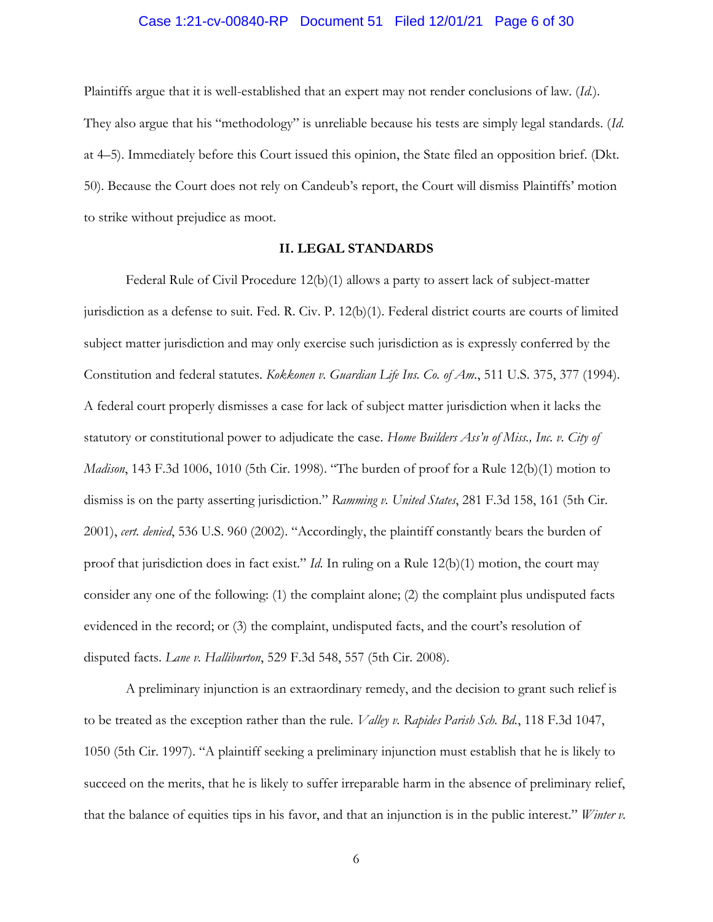## Case 1:21-cv-00840-RP Document 51 Filed 12/01/21 Page 6 of 30

Plaintiffs argue that it is well-established that an expert may not render conclusions of law. (*Id.*). They also argue that his "methodology" is unreliable because his tests are simply legal standards. (*Id.* at 4–5). Immediately before this Court issued this opinion, the State filed an opposition brief. (Dkt. 50). Because the Court does not rely on Candeub's report, the Court will dismiss Plaintiffs' motion to strike without prejudice as moot.

#### **II. LEGAL STANDARDS**

Federal Rule of Civil Procedure 12(b)(1) allows a party to assert lack of subject-matter jurisdiction as a defense to suit. Fed. R. Civ. P. 12(b)(1). Federal district courts are courts of limited subject matter jurisdiction and may only exercise such jurisdiction as is expressly conferred by the Constitution and federal statutes. *Kokkonen v. Guardian Life Ins. Co. of Am.*, 511 U.S. 375, 377 (1994). A federal court properly dismisses a case for lack of subject matter jurisdiction when it lacks the statutory or constitutional power to adjudicate the case. *Home Builders Ass'n of Miss., Inc. v. City of Madison*, 143 F.3d 1006, 1010 (5th Cir. 1998). "The burden of proof for a Rule 12(b)(1) motion to dismiss is on the party asserting jurisdiction." *Ramming v. United States*, 281 F.3d 158, 161 (5th Cir. 2001), *cert. denied*, 536 U.S. 960 (2002). "Accordingly, the plaintiff constantly bears the burden of proof that jurisdiction does in fact exist." *Id.* In ruling on a Rule 12(b)(1) motion, the court may consider any one of the following: (1) the complaint alone; (2) the complaint plus undisputed facts evidenced in the record; or (3) the complaint, undisputed facts, and the court's resolution of disputed facts. *Lane v. Halliburton*, 529 F.3d 548, 557 (5th Cir. 2008).

A preliminary injunction is an extraordinary remedy, and the decision to grant such relief is to be treated as the exception rather than the rule. *Valley v. Rapides Parish Sch. Bd.*, 118 F.3d 1047, 1050 (5th Cir. 1997). "A plaintiff seeking a preliminary injunction must establish that he is likely to succeed on the merits, that he is likely to suffer irreparable harm in the absence of preliminary relief, that the balance of equities tips in his favor, and that an injunction is in the public interest." *Winter v.*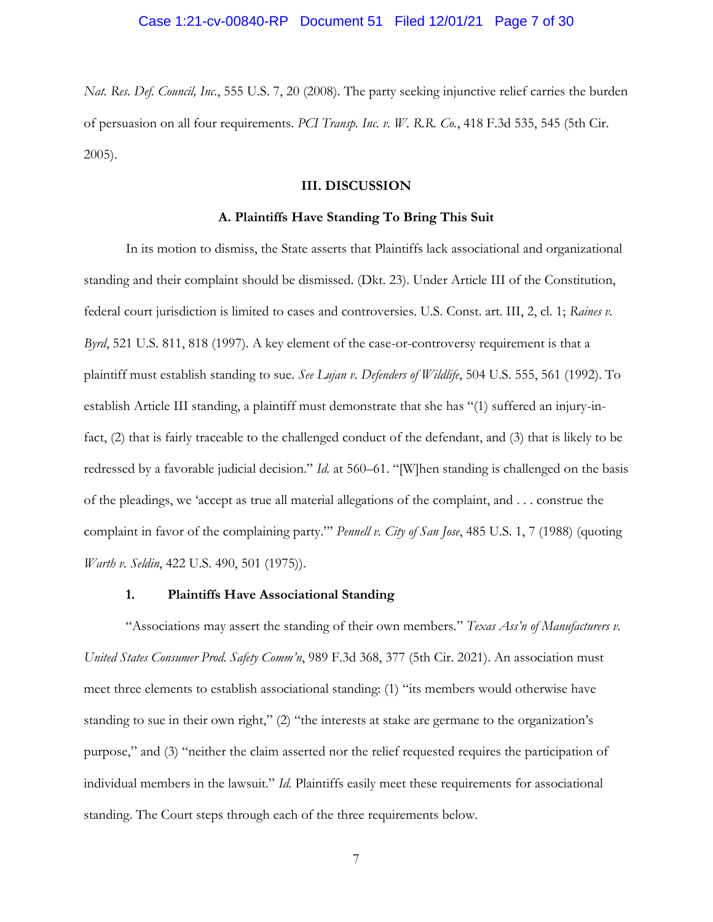*Nat. Res. Def. Council, Inc.*, 555 U.S. 7, 20 (2008). The party seeking injunctive relief carries the burden of persuasion on all four requirements. *PCI Transp. Inc. v. W. R.R. Co.*, 418 F.3d 535, 545 (5th Cir. 2005).

## **III. DISCUSSION**

#### **A. Plaintiffs Have Standing To Bring This Suit**

In its motion to dismiss, the State asserts that Plaintiffs lack associational and organizational standing and their complaint should be dismissed. (Dkt. 23). Under Article III of the Constitution, federal court jurisdiction is limited to cases and controversies. U.S. Const. art. III, 2, cl. 1; *Raines v. Byrd*, 521 U.S. 811, 818 (1997). A key element of the case-or-controversy requirement is that a plaintiff must establish standing to sue. *See Lujan v. Defenders of Wildlife*, 504 U.S. 555, 561 (1992). To establish Article III standing, a plaintiff must demonstrate that she has "(1) suffered an injury-infact, (2) that is fairly traceable to the challenged conduct of the defendant, and (3) that is likely to be redressed by a favorable judicial decision." *Id.* at 560–61. "[W]hen standing is challenged on the basis of the pleadings, we 'accept as true all material allegations of the complaint, and . . . construe the complaint in favor of the complaining party."' *Pennell v. City of San Jose*, 485 U.S. 1, 7 (1988) (quoting *Warth v. Seldin*, 422 U.S. 490, 501 (1975)).

#### **1. Plaintiffs Have Associational Standing**

"Associations may assert the standing of their own members." *Texas Ass'n of Manufacturers v. United States Consumer Prod. Safety Comm'n*, 989 F.3d 368, 377 (5th Cir. 2021). An association must meet three elements to establish associational standing: (1) "its members would otherwise have standing to sue in their own right," (2) "the interests at stake are germane to the organization's purpose," and (3) "neither the claim asserted nor the relief requested requires the participation of individual members in the lawsuit." *Id.* Plaintiffs easily meet these requirements for associational standing. The Court steps through each of the three requirements below.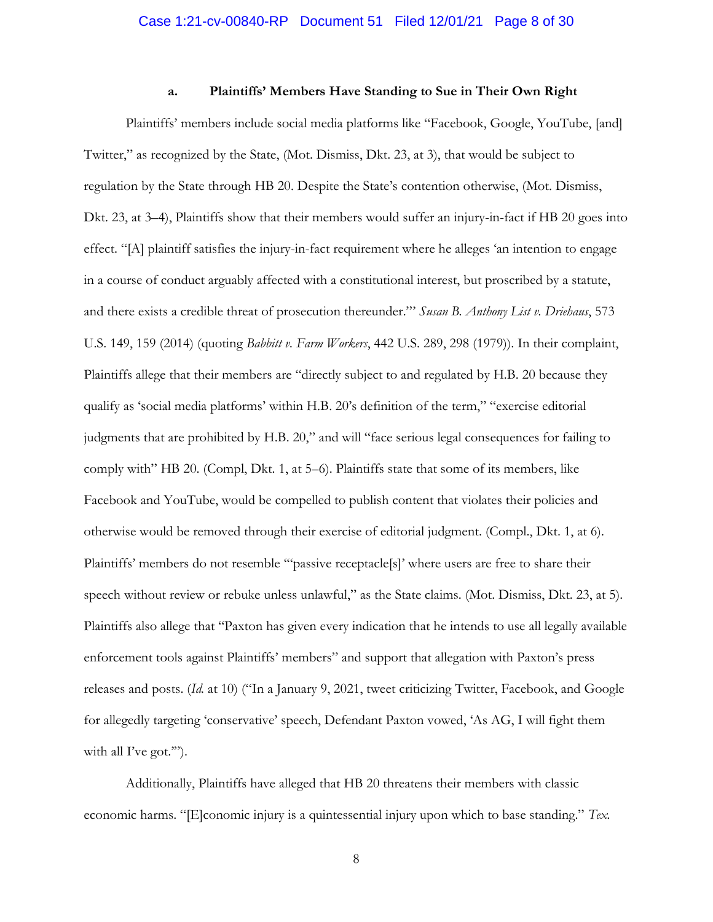#### **a. Plaintiffs' Members Have Standing to Sue in Their Own Right**

Plaintiffs' members include social media platforms like "Facebook, Google, YouTube, [and] Twitter," as recognized by the State, (Mot. Dismiss, Dkt. 23, at 3), that would be subject to regulation by the State through HB 20. Despite the State's contention otherwise, (Mot. Dismiss, Dkt. 23, at 3–4), Plaintiffs show that their members would suffer an injury-in-fact if HB 20 goes into effect. "[A] plaintiff satisfies the injury-in-fact requirement where he alleges 'an intention to engage in a course of conduct arguably affected with a constitutional interest, but proscribed by a statute, and there exists a credible threat of prosecution thereunder."' *Susan B. Anthony List v. Driehaus*, 573 U.S. 149, 159 (2014) (quoting *Babbitt v. Farm Workers*, 442 U.S. 289, 298 (1979)). In their complaint, Plaintiffs allege that their members are "directly subject to and regulated by H.B. 20 because they qualify as 'social media platforms' within H.B. 20's definition of the term," "exercise editorial judgments that are prohibited by H.B. 20," and will "face serious legal consequences for failing to comply with" HB 20. (Compl, Dkt. 1, at 5–6). Plaintiffs state that some of its members, like Facebook and YouTube, would be compelled to publish content that violates their policies and otherwise would be removed through their exercise of editorial judgment. (Compl., Dkt. 1, at 6). Plaintiffs' members do not resemble '"passive receptacle[s]' where users are free to share their speech without review or rebuke unless unlawful," as the State claims. (Mot. Dismiss, Dkt. 23, at 5). Plaintiffs also allege that "Paxton has given every indication that he intends to use all legally available enforcement tools against Plaintiffs' members" and support that allegation with Paxton's press releases and posts. (*Id.* at 10) ("In a January 9, 2021, tweet criticizing Twitter, Facebook, and Google for allegedly targeting 'conservative' speech, Defendant Paxton vowed, 'As AG, I will fight them with all I've got."").

Additionally, Plaintiffs have alleged that HB 20 threatens their members with classic economic harms. "[E]conomic injury is a quintessential injury upon which to base standing." *Tex.*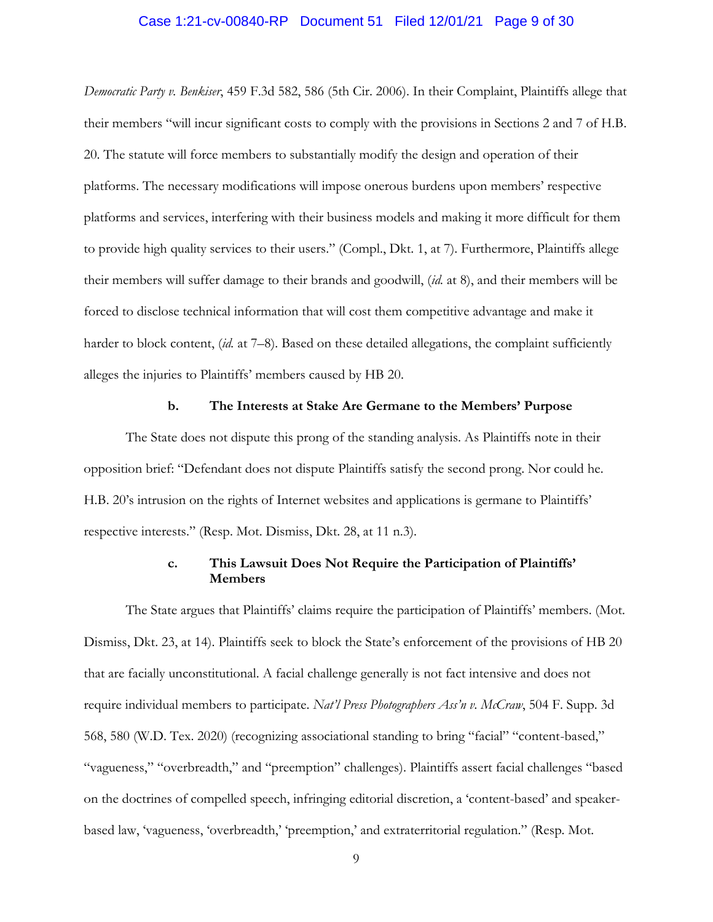#### Case 1:21-cv-00840-RP Document 51 Filed 12/01/21 Page 9 of 30

*Democratic Party v. Benkiser*, 459 F.3d 582, 586 (5th Cir. 2006). In their Complaint, Plaintiffs allege that their members "will incur significant costs to comply with the provisions in Sections 2 and 7 of H.B. 20. The statute will force members to substantially modify the design and operation of their platforms. The necessary modifications will impose onerous burdens upon members' respective platforms and services, interfering with their business models and making it more difficult for them to provide high quality services to their users." (Compl., Dkt. 1, at 7). Furthermore, Plaintiffs allege their members will suffer damage to their brands and goodwill, (*id.* at 8), and their members will be forced to disclose technical information that will cost them competitive advantage and make it harder to block content, *(id.* at 7–8). Based on these detailed allegations, the complaint sufficiently alleges the injuries to Plaintiffs' members caused by HB 20.

#### **b. The Interests at Stake Are Germane to the Members' Purpose**

The State does not dispute this prong of the standing analysis. As Plaintiffs note in their opposition brief: "Defendant does not dispute Plaintiffs satisfy the second prong. Nor could he. H.B. 20's intrusion on the rights of Internet websites and applications is germane to Plaintiffs' respective interests." (Resp. Mot. Dismiss, Dkt. 28, at 11 n.3).

# **c. This Lawsuit Does Not Require the Participation of Plaintiffs' Members**

The State argues that Plaintiffs' claims require the participation of Plaintiffs' members. (Mot. Dismiss, Dkt. 23, at 14). Plaintiffs seek to block the State's enforcement of the provisions of HB 20 that are facially unconstitutional. A facial challenge generally is not fact intensive and does not require individual members to participate. *Nat'l Press Photographers Ass'n v. McCraw*, 504 F. Supp. 3d 568, 580 (W.D. Tex. 2020) (recognizing associational standing to bring "facial" "content-based," "vagueness," "overbreadth," and "preemption" challenges). Plaintiffs assert facial challenges "based on the doctrines of compelled speech, infringing editorial discretion, a 'content-based' and speakerbased law, 'vagueness, 'overbreadth,' 'preemption,' and extraterritorial regulation." (Resp. Mot.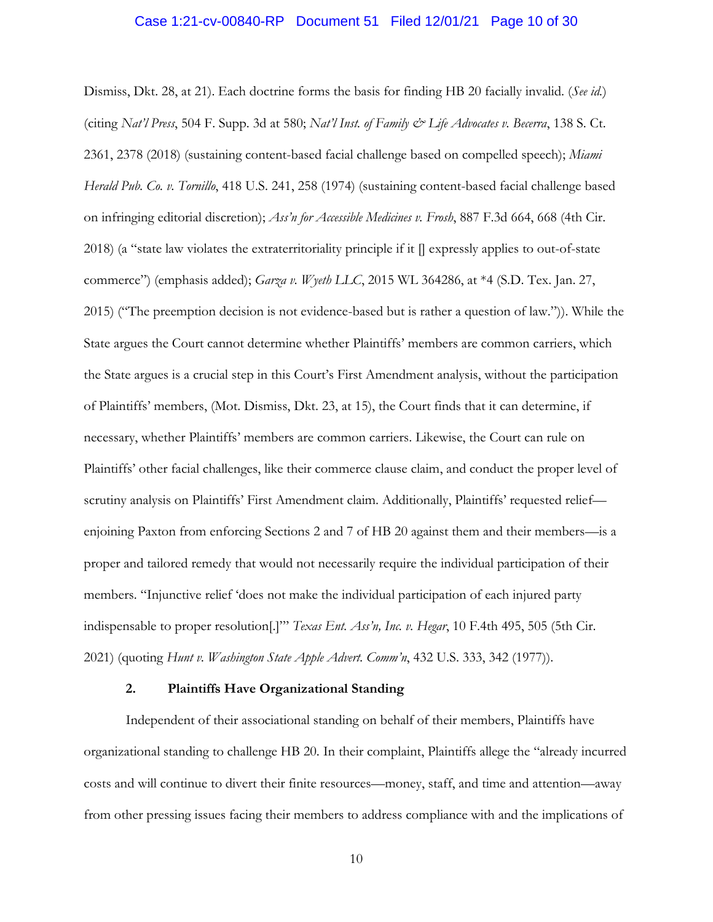#### Case 1:21-cv-00840-RP Document 51 Filed 12/01/21 Page 10 of 30

Dismiss, Dkt. 28, at 21). Each doctrine forms the basis for finding HB 20 facially invalid. (*See id.*) (citing *Nat'l Press*, 504 F. Supp. 3d at 580; *Nat'l Inst. of Family & Life Advocates v. Becerra*, 138 S. Ct. 2361, 2378 (2018) (sustaining content-based facial challenge based on compelled speech); *Miami Herald Pub. Co. v. Tornillo*, 418 U.S. 241, 258 (1974) (sustaining content-based facial challenge based on infringing editorial discretion); *Ass'n for Accessible Medicines v. Frosh*, 887 F.3d 664, 668 (4th Cir. 2018) (a "state law violates the extraterritoriality principle if it [] expressly applies to out-of-state commerce") (emphasis added); *Garza v. Wyeth LLC*, 2015 WL 364286, at \*4 (S.D. Tex. Jan. 27, 2015) ("The preemption decision is not evidence-based but is rather a question of law.")). While the State argues the Court cannot determine whether Plaintiffs' members are common carriers, which the State argues is a crucial step in this Court's First Amendment analysis, without the participation of Plaintiffs' members, (Mot. Dismiss, Dkt. 23, at 15), the Court finds that it can determine, if necessary, whether Plaintiffs' members are common carriers. Likewise, the Court can rule on Plaintiffs' other facial challenges, like their commerce clause claim, and conduct the proper level of scrutiny analysis on Plaintiffs' First Amendment claim. Additionally, Plaintiffs' requested relief enjoining Paxton from enforcing Sections 2 and 7 of HB 20 against them and their members—is a proper and tailored remedy that would not necessarily require the individual participation of their members. "Injunctive relief 'does not make the individual participation of each injured party indispensable to proper resolution[.]"' *Texas Ent. Ass'n, Inc. v. Hegar*, 10 F.4th 495, 505 (5th Cir. 2021) (quoting *Hunt v. Washington State Apple Advert. Comm'n*, 432 U.S. 333, 342 (1977)).

#### **2. Plaintiffs Have Organizational Standing**

Independent of their associational standing on behalf of their members, Plaintiffs have organizational standing to challenge HB 20. In their complaint, Plaintiffs allege the "already incurred costs and will continue to divert their finite resources—money, staff, and time and attention—away from other pressing issues facing their members to address compliance with and the implications of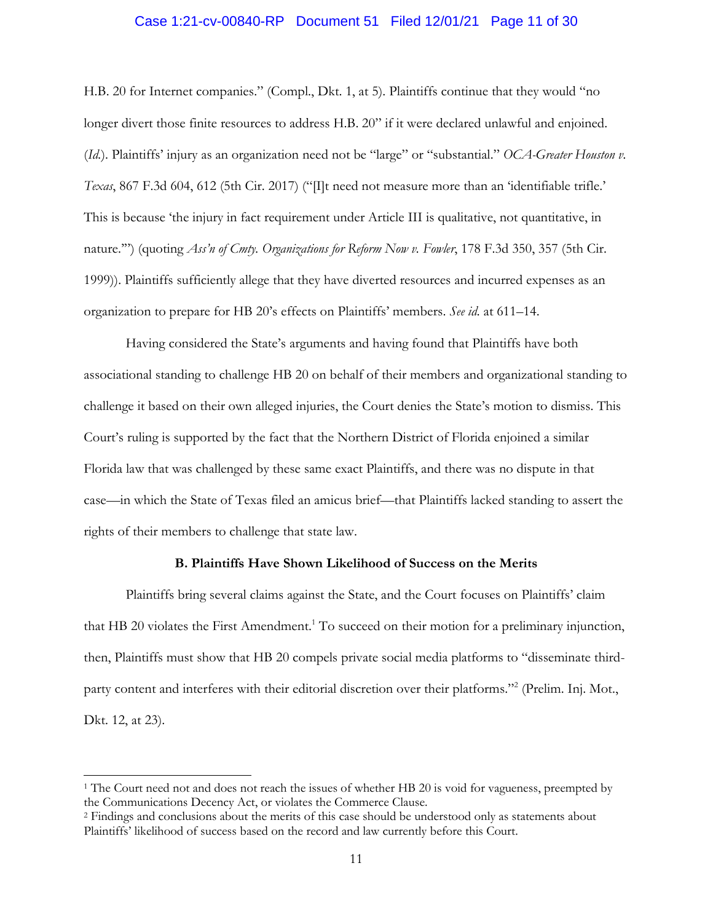## Case 1:21-cv-00840-RP Document 51 Filed 12/01/21 Page 11 of 30

H.B. 20 for Internet companies." (Compl., Dkt. 1, at 5). Plaintiffs continue that they would "no longer divert those finite resources to address H.B. 20" if it were declared unlawful and enjoined. (*Id.*). Plaintiffs' injury as an organization need not be "large" or "substantial." *OCA-Greater Houston v. Texas*, 867 F.3d 604, 612 (5th Cir. 2017) ("[I]t need not measure more than an 'identifiable trifle.' This is because 'the injury in fact requirement under Article III is qualitative, not quantitative, in nature.'") (quoting *Ass'n of Cmty. Organizations for Reform Now v. Fowler*, 178 F.3d 350, 357 (5th Cir. 1999)). Plaintiffs sufficiently allege that they have diverted resources and incurred expenses as an organization to prepare for HB 20's effects on Plaintiffs' members. *See id.* at 611–14.

Having considered the State's arguments and having found that Plaintiffs have both associational standing to challenge HB 20 on behalf of their members and organizational standing to challenge it based on their own alleged injuries, the Court denies the State's motion to dismiss. This Court's ruling is supported by the fact that the Northern District of Florida enjoined a similar Florida law that was challenged by these same exact Plaintiffs, and there was no dispute in that case—in which the State of Texas filed an amicus brief—that Plaintiffs lacked standing to assert the rights of their members to challenge that state law.

## **B. Plaintiffs Have Shown Likelihood of Success on the Merits**

Plaintiffs bring several claims against the State, and the Court focuses on Plaintiffs' claim that HB 20 violates the First Amendment.<sup>1</sup> To succeed on their motion for a preliminary injunction, then, Plaintiffs must show that HB 20 compels private social media platforms to "disseminate thirdparty content and interferes with their editorial discretion over their platforms."<sup>2</sup> (Prelim. Inj. Mot., Dkt. 12, at 23).

<sup>&</sup>lt;sup>1</sup> The Court need not and does not reach the issues of whether HB 20 is void for vagueness, preempted by the Communications Decency Act, or violates the Commerce Clause.

<sup>2</sup> Findings and conclusions about the merits of this case should be understood only as statements about Plaintiffs' likelihood of success based on the record and law currently before this Court.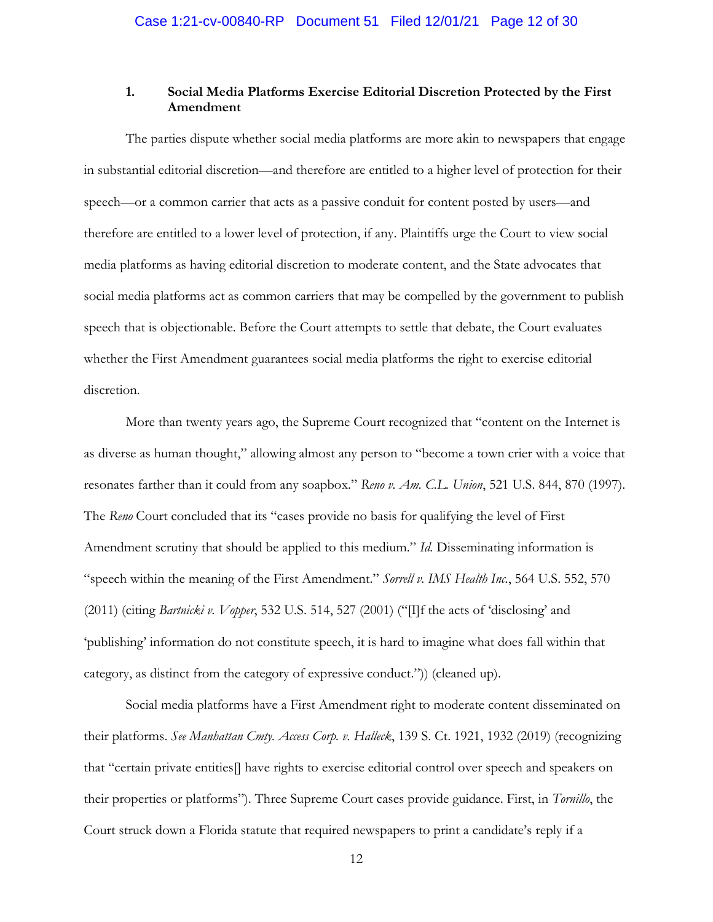# **1. Social Media Platforms Exercise Editorial Discretion Protected by the First Amendment**

The parties dispute whether social media platforms are more akin to newspapers that engage in substantial editorial discretion—and therefore are entitled to a higher level of protection for their speech—or a common carrier that acts as a passive conduit for content posted by users—and therefore are entitled to a lower level of protection, if any. Plaintiffs urge the Court to view social media platforms as having editorial discretion to moderate content, and the State advocates that social media platforms act as common carriers that may be compelled by the government to publish speech that is objectionable. Before the Court attempts to settle that debate, the Court evaluates whether the First Amendment guarantees social media platforms the right to exercise editorial discretion.

More than twenty years ago, the Supreme Court recognized that "content on the Internet is as diverse as human thought," allowing almost any person to "become a town crier with a voice that resonates farther than it could from any soapbox." *Reno v. Am. C.L. Union*, 521 U.S. 844, 870 (1997). The *Reno* Court concluded that its "cases provide no basis for qualifying the level of First Amendment scrutiny that should be applied to this medium." *Id.* Disseminating information is "speech within the meaning of the First Amendment." *Sorrell v. IMS Health Inc.*, 564 U.S. 552, 570 (2011) (citing *Bartnicki v. Vopper*, 532 U.S. 514, 527 (2001) ("[I]f the acts of 'disclosing' and 'publishing' information do not constitute speech, it is hard to imagine what does fall within that category, as distinct from the category of expressive conduct.")) (cleaned up).

Social media platforms have a First Amendment right to moderate content disseminated on their platforms. *See Manhattan Cmty. Access Corp. v. Halleck*, 139 S. Ct. 1921, 1932 (2019) (recognizing that "certain private entities[] have rights to exercise editorial control over speech and speakers on their properties or platforms"). Three Supreme Court cases provide guidance. First, in *Tornillo*, the Court struck down a Florida statute that required newspapers to print a candidate's reply if a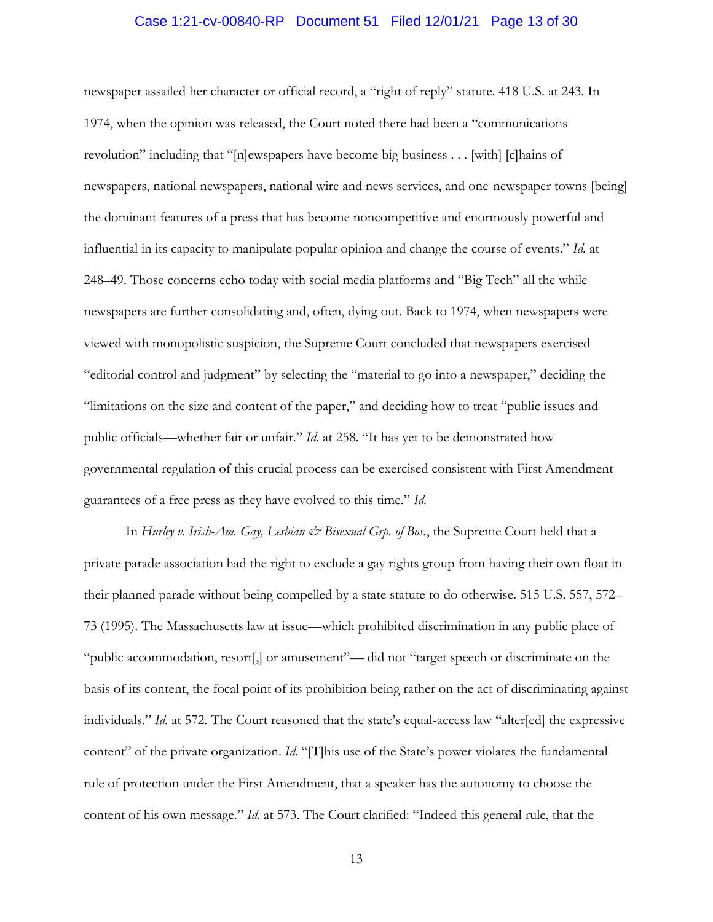### Case 1:21-cv-00840-RP Document 51 Filed 12/01/21 Page 13 of 30

newspaper assailed her character or official record, a "right of reply" statute. 418 U.S. at 243. In 1974, when the opinion was released, the Court noted there had been a "communications revolution" including that "[n]ewspapers have become big business . . . [with] [c]hains of newspapers, national newspapers, national wire and news services, and one-newspaper towns [being] the dominant features of a press that has become noncompetitive and enormously powerful and influential in its capacity to manipulate popular opinion and change the course of events." *Id.* at 248–49. Those concerns echo today with social media platforms and "Big Tech" all the while newspapers are further consolidating and, often, dying out. Back to 1974, when newspapers were viewed with monopolistic suspicion, the Supreme Court concluded that newspapers exercised "editorial control and judgment" by selecting the "material to go into a newspaper," deciding the "limitations on the size and content of the paper," and deciding how to treat "public issues and public officials—whether fair or unfair." *Id.* at 258. "It has yet to be demonstrated how governmental regulation of this crucial process can be exercised consistent with First Amendment guarantees of a free press as they have evolved to this time." *Id.*

In *Hurley v. Irish-Am. Gay, Lesbian & Bisexual Grp. of Bos.*, the Supreme Court held that a private parade association had the right to exclude a gay rights group from having their own float in their planned parade without being compelled by a state statute to do otherwise. 515 U.S. 557, 572– 73 (1995). The Massachusetts law at issue—which prohibited discrimination in any public place of "public accommodation, resort[,] or amusement"— did not "target speech or discriminate on the basis of its content, the focal point of its prohibition being rather on the act of discriminating against individuals." *Id.* at 572. The Court reasoned that the state's equal-access law "alter[ed] the expressive content" of the private organization. *Id.* "[T]his use of the State's power violates the fundamental rule of protection under the First Amendment, that a speaker has the autonomy to choose the content of his own message." *Id.* at 573. The Court clarified: "Indeed this general rule, that the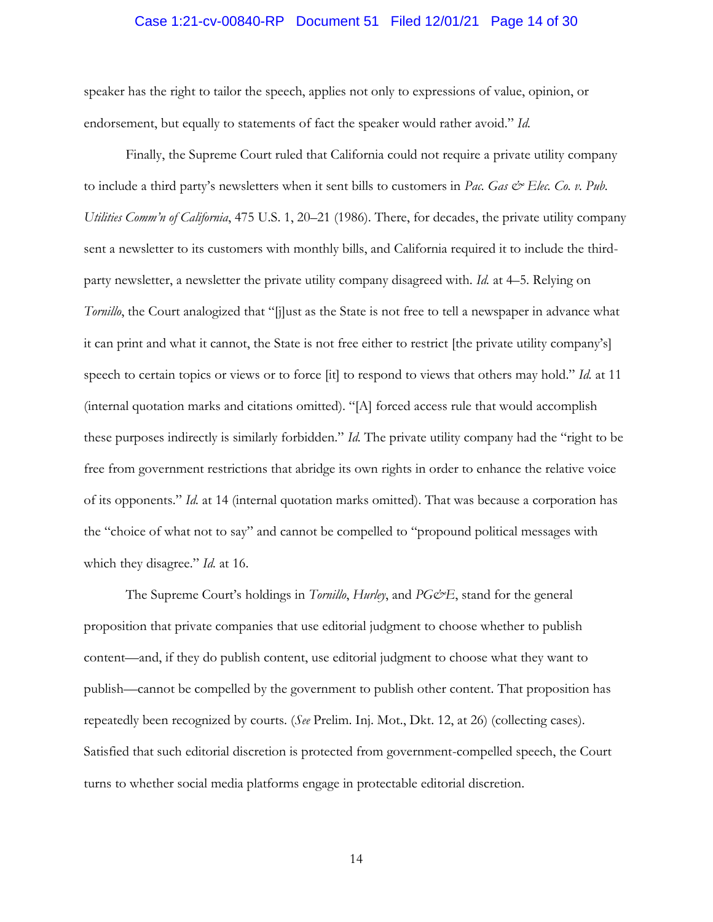#### Case 1:21-cv-00840-RP Document 51 Filed 12/01/21 Page 14 of 30

speaker has the right to tailor the speech, applies not only to expressions of value, opinion, or endorsement, but equally to statements of fact the speaker would rather avoid." *Id.*

Finally, the Supreme Court ruled that California could not require a private utility company to include a third party's newsletters when it sent bills to customers in Pac. Gas & Elec. Co. v. Pub. *Utilities Comm'n of California*, 475 U.S. 1, 20–21 (1986). There, for decades, the private utility company sent a newsletter to its customers with monthly bills, and California required it to include the thirdparty newsletter, a newsletter the private utility company disagreed with. *Id.* at 4–5. Relying on *Tornillo*, the Court analogized that "[j]ust as the State is not free to tell a newspaper in advance what it can print and what it cannot, the State is not free either to restrict [the private utility company's] speech to certain topics or views or to force [it] to respond to views that others may hold." *Id.* at 11 (internal quotation marks and citations omitted). "[A] forced access rule that would accomplish these purposes indirectly is similarly forbidden." *Id.* The private utility company had the "right to be free from government restrictions that abridge its own rights in order to enhance the relative voice of its opponents." *Id.* at 14 (internal quotation marks omitted). That was because a corporation has the "choice of what not to say" and cannot be compelled to "propound political messages with which they disagree." *Id.* at 16.

The Supreme Court's holdings in *Tornillo*, *Hurley*, and *PG&E*, stand for the general proposition that private companies that use editorial judgment to choose whether to publish content—and, if they do publish content, use editorial judgment to choose what they want to publish—cannot be compelled by the government to publish other content. That proposition has repeatedly been recognized by courts. (*See* Prelim. Inj. Mot., Dkt. 12, at 26) (collecting cases). Satisfied that such editorial discretion is protected from government-compelled speech, the Court turns to whether social media platforms engage in protectable editorial discretion.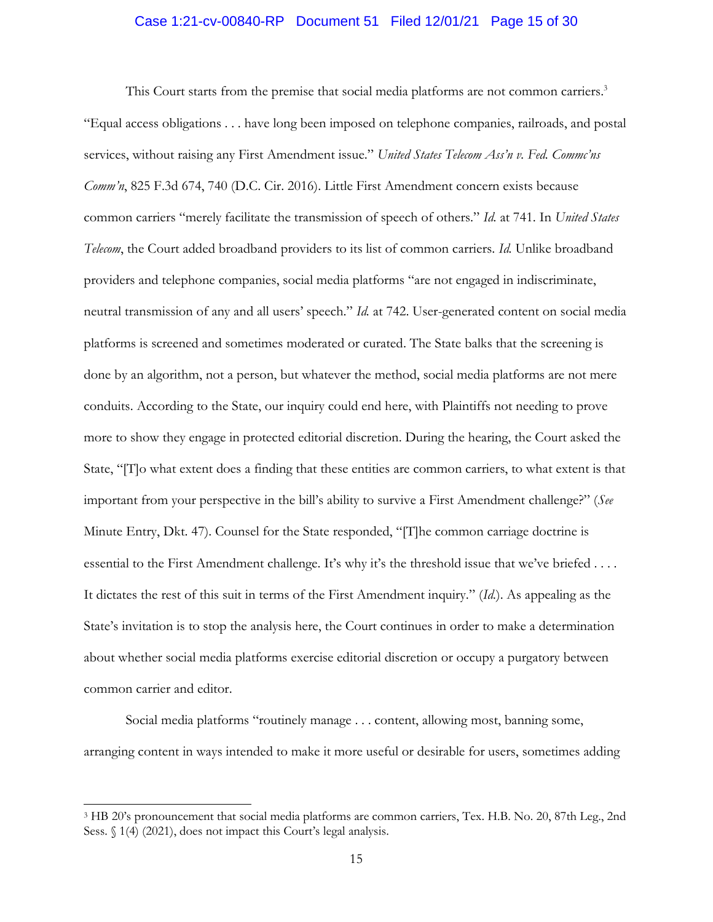## Case 1:21-cv-00840-RP Document 51 Filed 12/01/21 Page 15 of 30

This Court starts from the premise that social media platforms are not common carriers.<sup>3</sup> "Equal access obligations . . . have long been imposed on telephone companies, railroads, and postal services, without raising any First Amendment issue." *United States Telecom Ass'n v. Fed. Commc'ns Comm'n*, 825 F.3d 674, 740 (D.C. Cir. 2016). Little First Amendment concern exists because common carriers "merely facilitate the transmission of speech of others." *Id.* at 741. In *United States Telecom*, the Court added broadband providers to its list of common carriers. *Id.* Unlike broadband providers and telephone companies, social media platforms "are not engaged in indiscriminate, neutral transmission of any and all users' speech." *Id.* at 742. User-generated content on social media platforms is screened and sometimes moderated or curated. The State balks that the screening is done by an algorithm, not a person, but whatever the method, social media platforms are not mere conduits. According to the State, our inquiry could end here, with Plaintiffs not needing to prove more to show they engage in protected editorial discretion. During the hearing, the Court asked the State, "[T]o what extent does a finding that these entities are common carriers, to what extent is that important from your perspective in the bill's ability to survive a First Amendment challenge?" (*See*  Minute Entry, Dkt. 47). Counsel for the State responded, "[T]he common carriage doctrine is essential to the First Amendment challenge. It's why it's the threshold issue that we've briefed . . . . It dictates the rest of this suit in terms of the First Amendment inquiry." (*Id.*). As appealing as the State's invitation is to stop the analysis here, the Court continues in order to make a determination about whether social media platforms exercise editorial discretion or occupy a purgatory between common carrier and editor.

Social media platforms "routinely manage . . . content, allowing most, banning some, arranging content in ways intended to make it more useful or desirable for users, sometimes adding

<sup>&</sup>lt;sup>3</sup> HB 20's pronouncement that social media platforms are common carriers, Tex. H.B. No. 20, 87th Leg., 2nd Sess. § 1(4) (2021), does not impact this Court's legal analysis.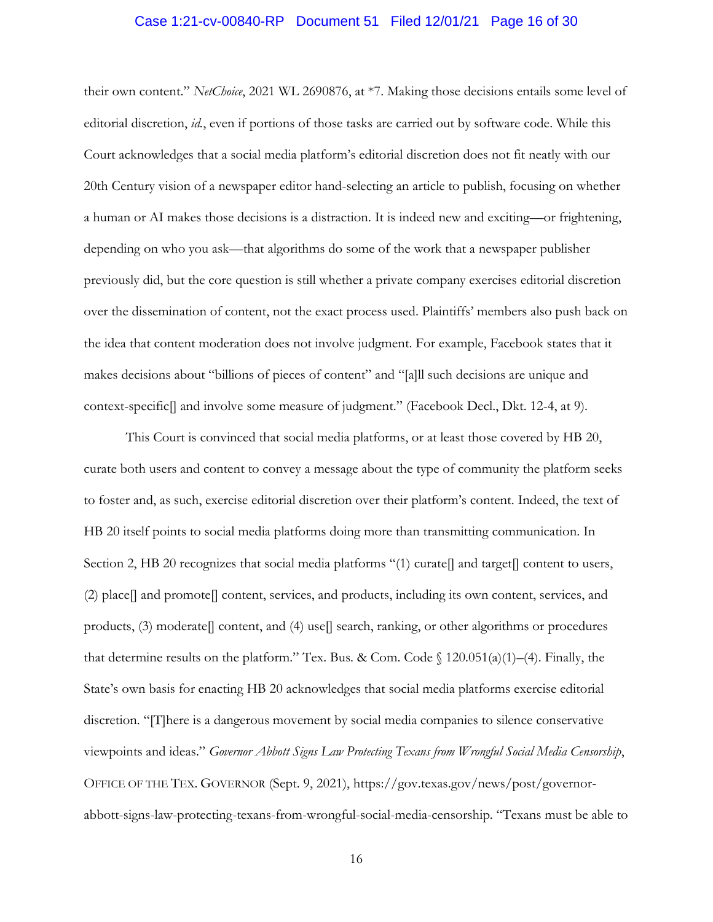#### Case 1:21-cv-00840-RP Document 51 Filed 12/01/21 Page 16 of 30

their own content." *NetChoice*, 2021 WL 2690876, at \*7. Making those decisions entails some level of editorial discretion, *id.*, even if portions of those tasks are carried out by software code. While this Court acknowledges that a social media platform's editorial discretion does not fit neatly with our 20th Century vision of a newspaper editor hand-selecting an article to publish, focusing on whether a human or AI makes those decisions is a distraction. It is indeed new and exciting—or frightening, depending on who you ask—that algorithms do some of the work that a newspaper publisher previously did, but the core question is still whether a private company exercises editorial discretion over the dissemination of content, not the exact process used. Plaintiffs' members also push back on the idea that content moderation does not involve judgment. For example, Facebook states that it makes decisions about "billions of pieces of content" and "[a]ll such decisions are unique and context-specific[] and involve some measure of judgment." (Facebook Decl., Dkt. 12-4, at 9).

This Court is convinced that social media platforms, or at least those covered by HB 20, curate both users and content to convey a message about the type of community the platform seeks to foster and, as such, exercise editorial discretion over their platform's content. Indeed, the text of HB 20 itself points to social media platforms doing more than transmitting communication. In Section 2, HB 20 recognizes that social media platforms "(1) curate[] and target[] content to users, (2) place[] and promote[] content, services, and products, including its own content, services, and products,  $(3)$  moderate $[$  content, and  $(4)$  use $[$  search, ranking, or other algorithms or procedures that determine results on the platform." Tex. Bus. & Com. Code  $\int$  120.051(a)(1)–(4). Finally, the State's own basis for enacting HB 20 acknowledges that social media platforms exercise editorial discretion. "[T]here is a dangerous movement by social media companies to silence conservative viewpoints and ideas." *Governor Abbott Signs Law Protecting Texans from Wrongful Social Media Censorship*, OFFICE OF THE TEX. GOVERNOR (Sept. 9, 2021), https://gov.texas.gov/news/post/governorabbott-signs-law-protecting-texans-from-wrongful-social-media-censorship. "Texans must be able to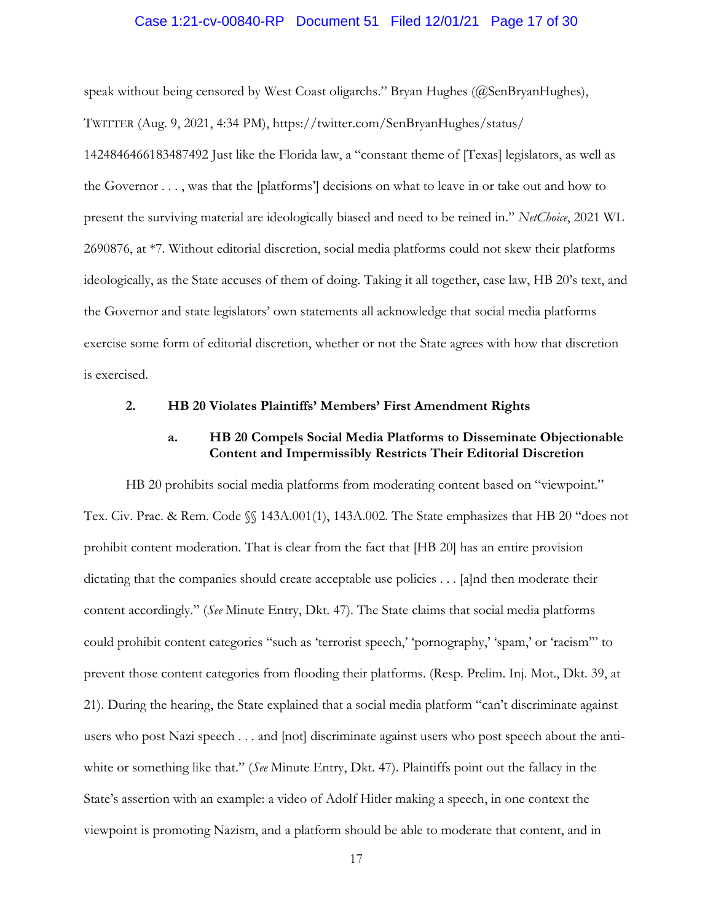### Case 1:21-cv-00840-RP Document 51 Filed 12/01/21 Page 17 of 30

speak without being censored by West Coast oligarchs." Bryan Hughes (@SenBryanHughes), TWITTER (Aug. 9, 2021, 4:34 PM), https://twitter.com/SenBryanHughes/status/ 1424846466183487492 Just like the Florida law, a "constant theme of [Texas] legislators, as well as the Governor . . . , was that the [platforms'] decisions on what to leave in or take out and how to present the surviving material are ideologically biased and need to be reined in." *NetChoice*, 2021 WL 2690876, at \*7. Without editorial discretion, social media platforms could not skew their platforms ideologically, as the State accuses of them of doing. Taking it all together, case law, HB 20's text, and the Governor and state legislators' own statements all acknowledge that social media platforms exercise some form of editorial discretion, whether or not the State agrees with how that discretion is exercised.

## **2. HB 20 Violates Plaintiffs' Members' First Amendment Rights**

## **a. HB 20 Compels Social Media Platforms to Disseminate Objectionable Content and Impermissibly Restricts Their Editorial Discretion**

HB 20 prohibits social media platforms from moderating content based on "viewpoint." Tex. Civ. Prac. & Rem. Code §§ 143A.001(1), 143A.002. The State emphasizes that HB 20 "does not prohibit content moderation. That is clear from the fact that [HB 20] has an entire provision dictating that the companies should create acceptable use policies . . . [a]nd then moderate their content accordingly." (*See* Minute Entry, Dkt. 47). The State claims that social media platforms could prohibit content categories "such as 'terrorist speech,' 'pornography,' 'spam,' or 'racism'" to prevent those content categories from flooding their platforms. (Resp. Prelim. Inj. Mot., Dkt. 39, at 21). During the hearing, the State explained that a social media platform "can't discriminate against users who post Nazi speech . . . and [not] discriminate against users who post speech about the antiwhite or something like that." (*See* Minute Entry, Dkt. 47). Plaintiffs point out the fallacy in the State's assertion with an example: a video of Adolf Hitler making a speech, in one context the viewpoint is promoting Nazism, and a platform should be able to moderate that content, and in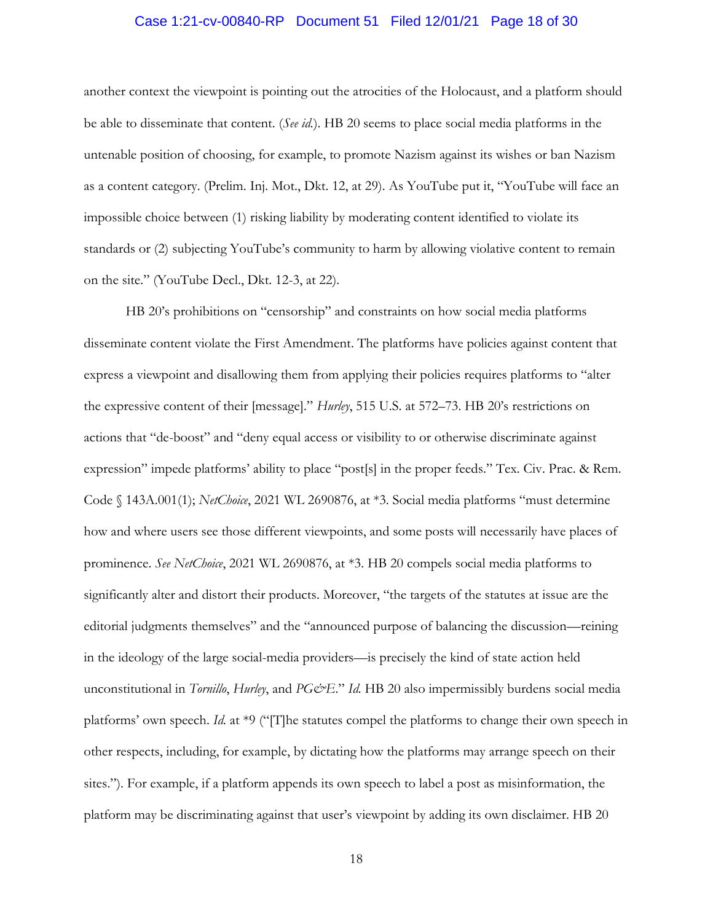## Case 1:21-cv-00840-RP Document 51 Filed 12/01/21 Page 18 of 30

another context the viewpoint is pointing out the atrocities of the Holocaust, and a platform should be able to disseminate that content. (*See id.*). HB 20 seems to place social media platforms in the untenable position of choosing, for example, to promote Nazism against its wishes or ban Nazism as a content category. (Prelim. Inj. Mot., Dkt. 12, at 29). As YouTube put it, "YouTube will face an impossible choice between (1) risking liability by moderating content identified to violate its standards or (2) subjecting YouTube's community to harm by allowing violative content to remain on the site." (YouTube Decl., Dkt. 12-3, at 22).

HB 20's prohibitions on "censorship" and constraints on how social media platforms disseminate content violate the First Amendment. The platforms have policies against content that express a viewpoint and disallowing them from applying their policies requires platforms to "alter the expressive content of their [message]." *Hurley*, 515 U.S. at 572–73. HB 20's restrictions on actions that "de-boost" and "deny equal access or visibility to or otherwise discriminate against expression" impede platforms' ability to place "post[s] in the proper feeds." Tex. Civ. Prac. & Rem. Code § 143A.001(1); *NetChoice*, 2021 WL 2690876, at \*3. Social media platforms "must determine how and where users see those different viewpoints, and some posts will necessarily have places of prominence. *See NetChoice*, 2021 WL 2690876, at \*3. HB 20 compels social media platforms to significantly alter and distort their products. Moreover, "the targets of the statutes at issue are the editorial judgments themselves" and the "announced purpose of balancing the discussion—reining in the ideology of the large social-media providers—is precisely the kind of state action held unconstitutional in *Tornillo*, *Hurley*, and *PG&E.*" *Id.* HB 20 also impermissibly burdens social media platforms' own speech. *Id.* at \*9 ("[T]he statutes compel the platforms to change their own speech in other respects, including, for example, by dictating how the platforms may arrange speech on their sites."). For example, if a platform appends its own speech to label a post as misinformation, the platform may be discriminating against that user's viewpoint by adding its own disclaimer. HB 20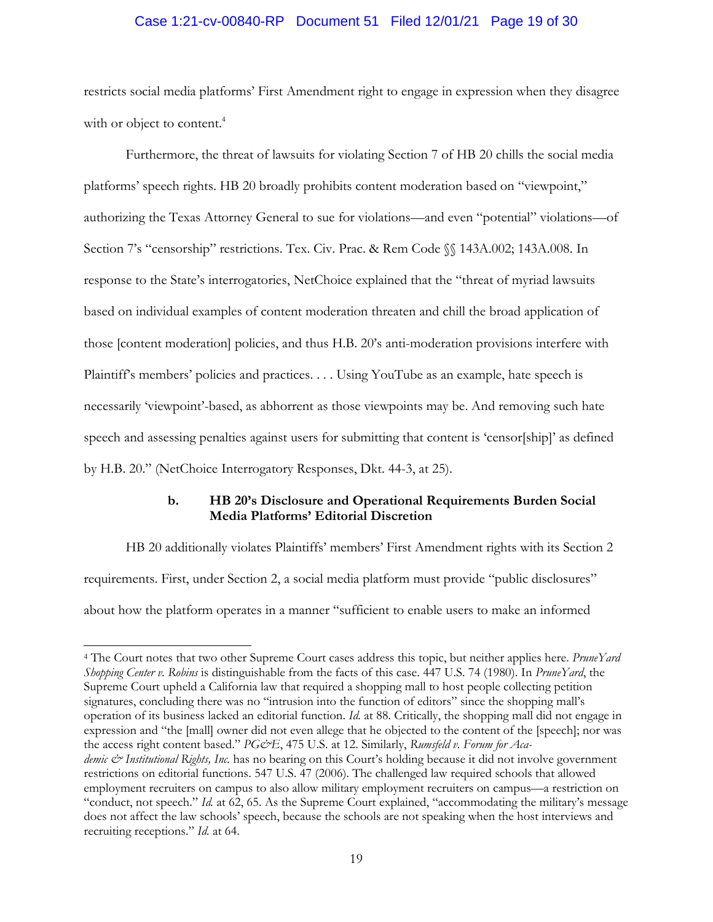## Case 1:21-cv-00840-RP Document 51 Filed 12/01/21 Page 19 of 30

restricts social media platforms' First Amendment right to engage in expression when they disagree with or object to content.<sup>4</sup>

Furthermore, the threat of lawsuits for violating Section 7 of HB 20 chills the social media platforms' speech rights. HB 20 broadly prohibits content moderation based on "viewpoint," authorizing the Texas Attorney General to sue for violations—and even "potential" violations—of Section 7's "censorship" restrictions. Tex. Civ. Prac. & Rem Code §§ 143A.002; 143A.008. In response to the State's interrogatories, NetChoice explained that the "threat of myriad lawsuits based on individual examples of content moderation threaten and chill the broad application of those [content moderation] policies, and thus H.B. 20's anti-moderation provisions interfere with Plaintiff's members' policies and practices. . . . Using YouTube as an example, hate speech is necessarily 'viewpoint'-based, as abhorrent as those viewpoints may be. And removing such hate speech and assessing penalties against users for submitting that content is 'censor[ship]' as defined by H.B. 20." (NetChoice Interrogatory Responses, Dkt. 44-3, at 25).

## **b. HB 20's Disclosure and Operational Requirements Burden Social Media Platforms' Editorial Discretion**

HB 20 additionally violates Plaintiffs' members' First Amendment rights with its Section 2 requirements. First, under Section 2, a social media platform must provide "public disclosures" about how the platform operates in a manner "sufficient to enable users to make an informed

<sup>4</sup> The Court notes that two other Supreme Court cases address this topic, but neither applies here. *PruneYard Shopping Center v. Robins* is distinguishable from the facts of this case. 447 U.S. 74 (1980). In *PruneYard*, the Supreme Court upheld a California law that required a shopping mall to host people collecting petition signatures, concluding there was no "intrusion into the function of editors" since the shopping mall's operation of its business lacked an editorial function. *Id.* at 88. Critically, the shopping mall did not engage in expression and "the [mall] owner did not even allege that he objected to the content of the [speech]; nor was the access right content based." *PG&E*, 475 U.S. at 12. Similarly, *Rumsfeld v. Forum for Academic & Institutional Rights, Inc.* has no bearing on this Court's holding because it did not involve government restrictions on editorial functions. 547 U.S. 47 (2006). The challenged law required schools that allowed employment recruiters on campus to also allow military employment recruiters on campus—a restriction on "conduct, not speech." *Id.* at 62, 65. As the Supreme Court explained, "accommodating the military's message does not affect the law schools' speech, because the schools are not speaking when the host interviews and recruiting receptions." *Id.* at 64.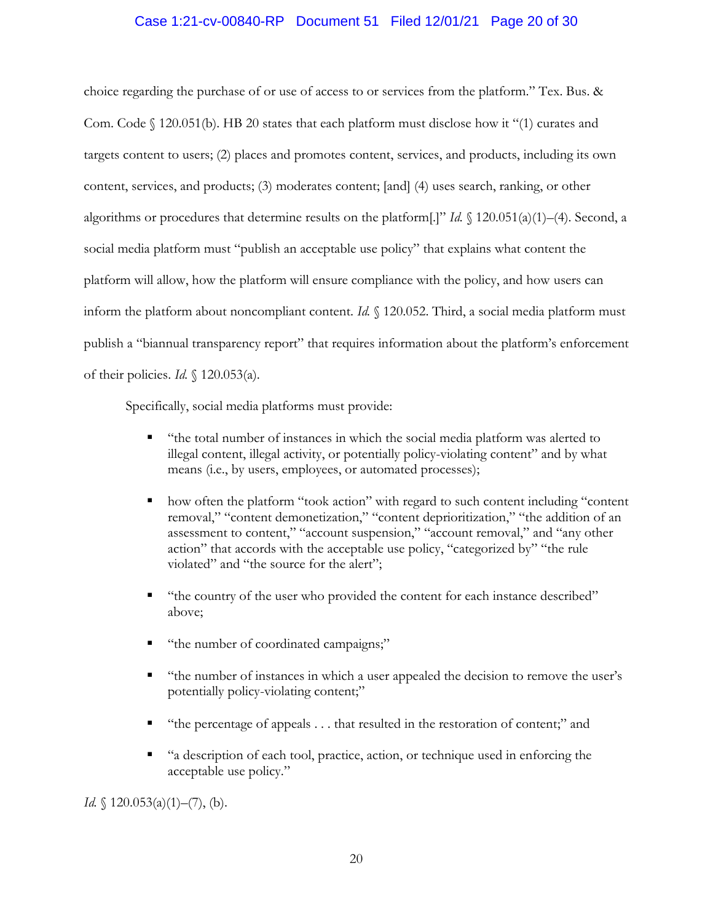## Case 1:21-cv-00840-RP Document 51 Filed 12/01/21 Page 20 of 30

choice regarding the purchase of or use of access to or services from the platform." Tex. Bus. & Com. Code § 120.051(b). HB 20 states that each platform must disclose how it "(1) curates and targets content to users; (2) places and promotes content, services, and products, including its own content, services, and products; (3) moderates content; [and] (4) uses search, ranking, or other algorithms or procedures that determine results on the platform[.]" *Id.* § 120.051(a)(1)–(4). Second, a social media platform must "publish an acceptable use policy" that explains what content the platform will allow, how the platform will ensure compliance with the policy, and how users can inform the platform about noncompliant content. *Id.* § 120.052. Third, a social media platform must publish a "biannual transparency report" that requires information about the platform's enforcement of their policies. *Id.* § 120.053(a).

Specifically, social media platforms must provide:

- "the total number of instances in which the social media platform was alerted to illegal content, illegal activity, or potentially policy-violating content" and by what means (i.e., by users, employees, or automated processes);
- how often the platform "took action" with regard to such content including "content removal," "content demonetization," "content deprioritization," "the addition of an assessment to content," "account suspension," "account removal," and "any other action" that accords with the acceptable use policy, "categorized by" "the rule violated" and "the source for the alert";
- "the country of the user who provided the content for each instance described" above;
- "the number of coordinated campaigns;"
- "the number of instances in which a user appealed the decision to remove the user's potentially policy-violating content;"
- "the percentage of appeals . . . that resulted in the restoration of content;" and
- "a description of each tool, practice, action, or technique used in enforcing the acceptable use policy."

*Id.*  $\{120.053(a)(1) - (7), (b)\}.$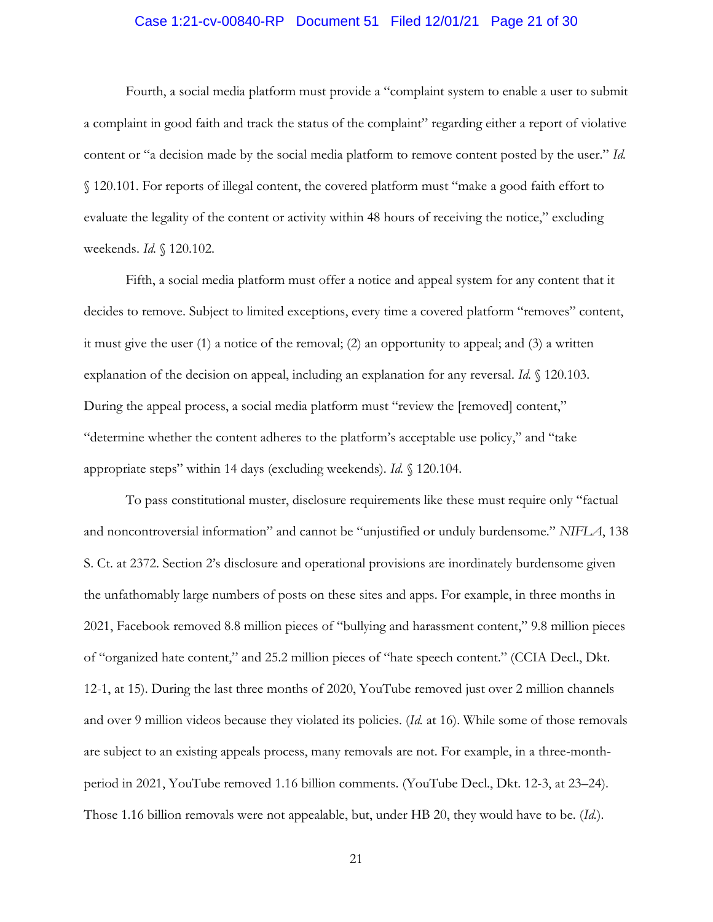# Case 1:21-cv-00840-RP Document 51 Filed 12/01/21 Page 21 of 30

Fourth, a social media platform must provide a "complaint system to enable a user to submit a complaint in good faith and track the status of the complaint" regarding either a report of violative content or "a decision made by the social media platform to remove content posted by the user." *Id.* § 120.101. For reports of illegal content, the covered platform must "make a good faith effort to evaluate the legality of the content or activity within 48 hours of receiving the notice," excluding weekends. *Id.* § 120.102.

Fifth, a social media platform must offer a notice and appeal system for any content that it decides to remove. Subject to limited exceptions, every time a covered platform "removes" content, it must give the user (1) a notice of the removal; (2) an opportunity to appeal; and (3) a written explanation of the decision on appeal, including an explanation for any reversal. *Id.* § 120.103. During the appeal process, a social media platform must "review the [removed] content," "determine whether the content adheres to the platform's acceptable use policy," and "take appropriate steps" within 14 days (excluding weekends). *Id.* § 120.104.

To pass constitutional muster, disclosure requirements like these must require only "factual and noncontroversial information" and cannot be "unjustified or unduly burdensome." *NIFLA*, 138 S. Ct. at 2372. Section 2's disclosure and operational provisions are inordinately burdensome given the unfathomably large numbers of posts on these sites and apps. For example, in three months in 2021, Facebook removed 8.8 million pieces of "bullying and harassment content," 9.8 million pieces of "organized hate content," and 25.2 million pieces of "hate speech content." (CCIA Decl., Dkt. 12-1, at 15). During the last three months of 2020, YouTube removed just over 2 million channels and over 9 million videos because they violated its policies. (*Id.* at 16). While some of those removals are subject to an existing appeals process, many removals are not. For example, in a three-monthperiod in 2021, YouTube removed 1.16 billion comments. (YouTube Decl., Dkt. 12-3, at 23–24). Those 1.16 billion removals were not appealable, but, under HB 20, they would have to be. (*Id.*).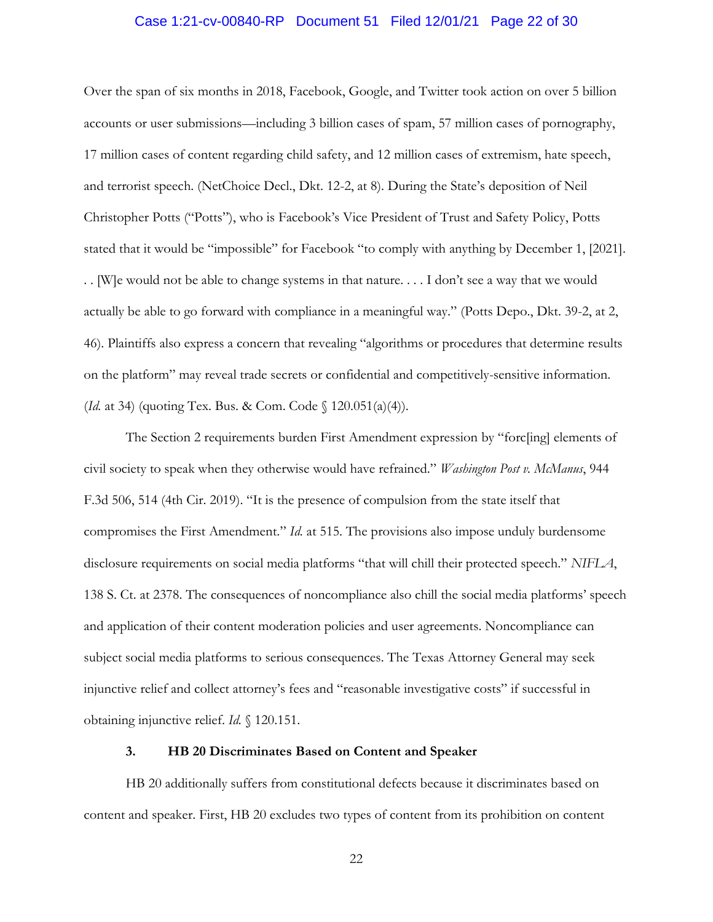# Case 1:21-cv-00840-RP Document 51 Filed 12/01/21 Page 22 of 30

Over the span of six months in 2018, Facebook, Google, and Twitter took action on over 5 billion accounts or user submissions—including 3 billion cases of spam, 57 million cases of pornography, 17 million cases of content regarding child safety, and 12 million cases of extremism, hate speech, and terrorist speech. (NetChoice Decl., Dkt. 12-2, at 8). During the State's deposition of Neil Christopher Potts ("Potts"), who is Facebook's Vice President of Trust and Safety Policy, Potts stated that it would be "impossible" for Facebook "to comply with anything by December 1, [2021]. . . [W]e would not be able to change systems in that nature. . . . I don't see a way that we would actually be able to go forward with compliance in a meaningful way." (Potts Depo., Dkt. 39-2, at 2, 46). Plaintiffs also express a concern that revealing "algorithms or procedures that determine results on the platform" may reveal trade secrets or confidential and competitively-sensitive information. (*Id.* at 34) (quoting Tex. Bus. & Com. Code § 120.051(a)(4)).

The Section 2 requirements burden First Amendment expression by "forc[ing] elements of civil society to speak when they otherwise would have refrained." *Washington Post v. McManus*, 944 F.3d 506, 514 (4th Cir. 2019). "It is the presence of compulsion from the state itself that compromises the First Amendment." *Id.* at 515. The provisions also impose unduly burdensome disclosure requirements on social media platforms "that will chill their protected speech." *NIFLA*, 138 S. Ct. at 2378. The consequences of noncompliance also chill the social media platforms' speech and application of their content moderation policies and user agreements. Noncompliance can subject social media platforms to serious consequences. The Texas Attorney General may seek injunctive relief and collect attorney's fees and "reasonable investigative costs" if successful in obtaining injunctive relief. *Id.* § 120.151.

#### **3. HB 20 Discriminates Based on Content and Speaker**

HB 20 additionally suffers from constitutional defects because it discriminates based on content and speaker. First, HB 20 excludes two types of content from its prohibition on content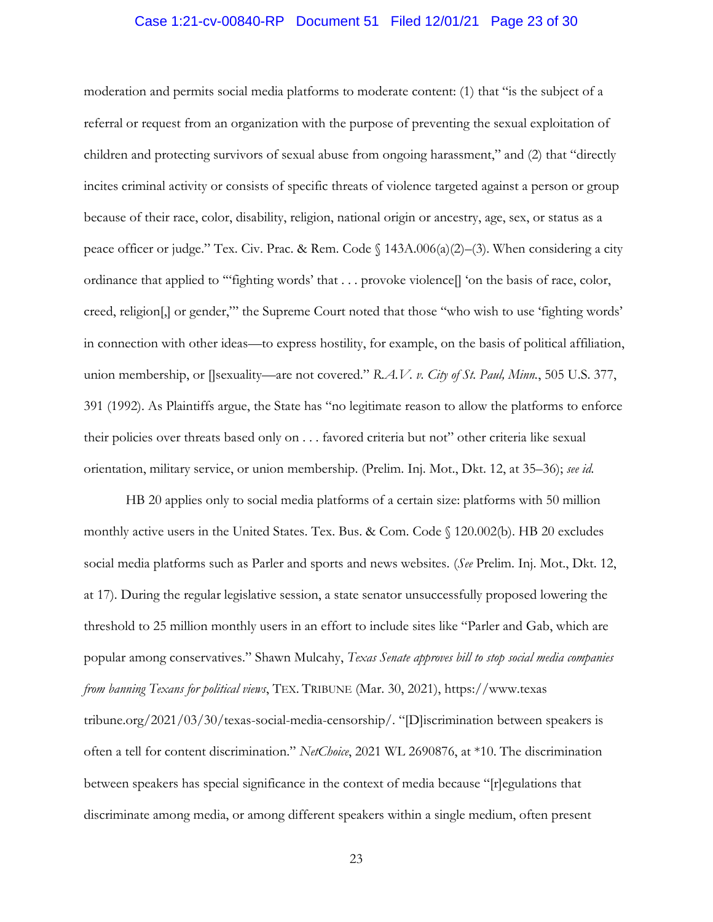## Case 1:21-cv-00840-RP Document 51 Filed 12/01/21 Page 23 of 30

moderation and permits social media platforms to moderate content: (1) that "is the subject of a referral or request from an organization with the purpose of preventing the sexual exploitation of children and protecting survivors of sexual abuse from ongoing harassment," and (2) that "directly incites criminal activity or consists of specific threats of violence targeted against a person or group because of their race, color, disability, religion, national origin or ancestry, age, sex, or status as a peace officer or judge." Tex. Civ. Prac. & Rem. Code § 143A.006(a)(2)–(3). When considering a city ordinance that applied to '"fighting words' that . . . provoke violence[] 'on the basis of race, color, creed, religion[,] or gender,"' the Supreme Court noted that those "who wish to use 'fighting words' in connection with other ideas—to express hostility, for example, on the basis of political affiliation, union membership, or []sexuality—are not covered." *R.A.V. v. City of St. Paul, Minn.*, 505 U.S. 377, 391 (1992). As Plaintiffs argue, the State has "no legitimate reason to allow the platforms to enforce their policies over threats based only on . . . favored criteria but not" other criteria like sexual orientation, military service, or union membership. (Prelim. Inj. Mot., Dkt. 12, at 35–36); *see id.*

HB 20 applies only to social media platforms of a certain size: platforms with 50 million monthly active users in the United States. Tex. Bus. & Com. Code § 120.002(b). HB 20 excludes social media platforms such as Parler and sports and news websites. (*See* Prelim. Inj. Mot., Dkt. 12, at 17). During the regular legislative session, a state senator unsuccessfully proposed lowering the threshold to 25 million monthly users in an effort to include sites like "Parler and Gab, which are popular among conservatives." Shawn Mulcahy, *Texas Senate approves bill to stop social media companies from banning Texans for political views*, TEX. TRIBUNE (Mar. 30, 2021), https://www.texas tribune.org/2021/03/30/texas-social-media-censorship/. "[D]iscrimination between speakers is often a tell for content discrimination." *NetChoice*, 2021 WL 2690876, at \*10. The discrimination between speakers has special significance in the context of media because "[r]egulations that discriminate among media, or among different speakers within a single medium, often present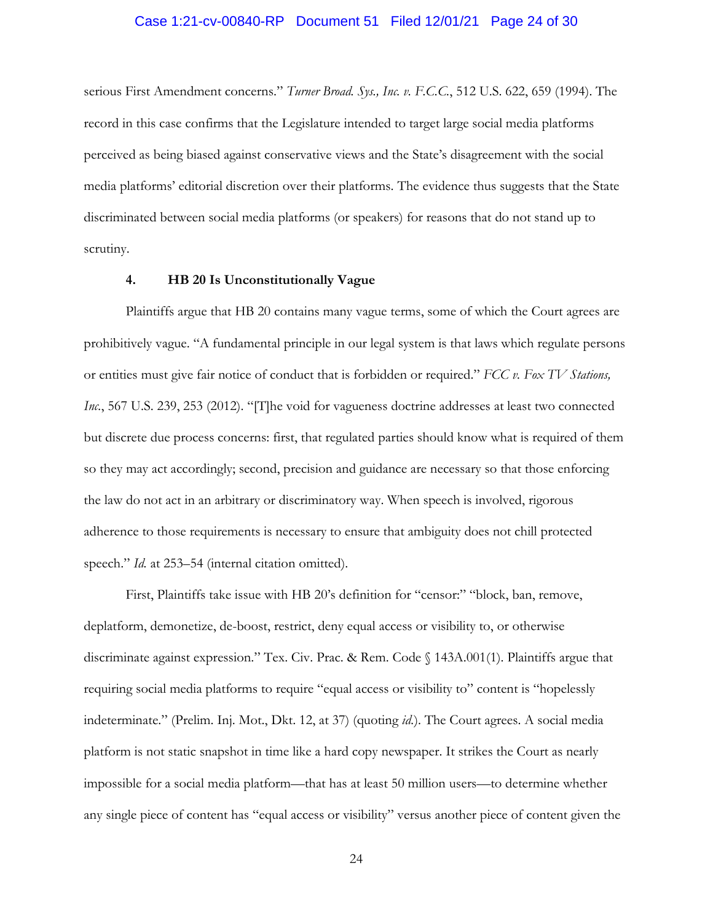# Case 1:21-cv-00840-RP Document 51 Filed 12/01/21 Page 24 of 30

serious First Amendment concerns." *Turner Broad. Sys., Inc. v. F.C.C.*, 512 U.S. 622, 659 (1994). The record in this case confirms that the Legislature intended to target large social media platforms perceived as being biased against conservative views and the State's disagreement with the social media platforms' editorial discretion over their platforms. The evidence thus suggests that the State discriminated between social media platforms (or speakers) for reasons that do not stand up to scrutiny.

#### **4. HB 20 Is Unconstitutionally Vague**

Plaintiffs argue that HB 20 contains many vague terms, some of which the Court agrees are prohibitively vague. "A fundamental principle in our legal system is that laws which regulate persons or entities must give fair notice of conduct that is forbidden or required." *FCC v. Fox TV Stations, Inc.*, 567 U.S. 239, 253 (2012). "[T]he void for vagueness doctrine addresses at least two connected but discrete due process concerns: first, that regulated parties should know what is required of them so they may act accordingly; second, precision and guidance are necessary so that those enforcing the law do not act in an arbitrary or discriminatory way. When speech is involved, rigorous adherence to those requirements is necessary to ensure that ambiguity does not chill protected speech." *Id.* at 253–54 (internal citation omitted).

First, Plaintiffs take issue with HB 20's definition for "censor:" "block, ban, remove, deplatform, demonetize, de-boost, restrict, deny equal access or visibility to, or otherwise discriminate against expression." Tex. Civ. Prac. & Rem. Code § 143A.001(1). Plaintiffs argue that requiring social media platforms to require "equal access or visibility to" content is "hopelessly indeterminate." (Prelim. Inj. Mot., Dkt. 12, at 37) (quoting *id.*). The Court agrees. A social media platform is not static snapshot in time like a hard copy newspaper. It strikes the Court as nearly impossible for a social media platform—that has at least 50 million users—to determine whether any single piece of content has "equal access or visibility" versus another piece of content given the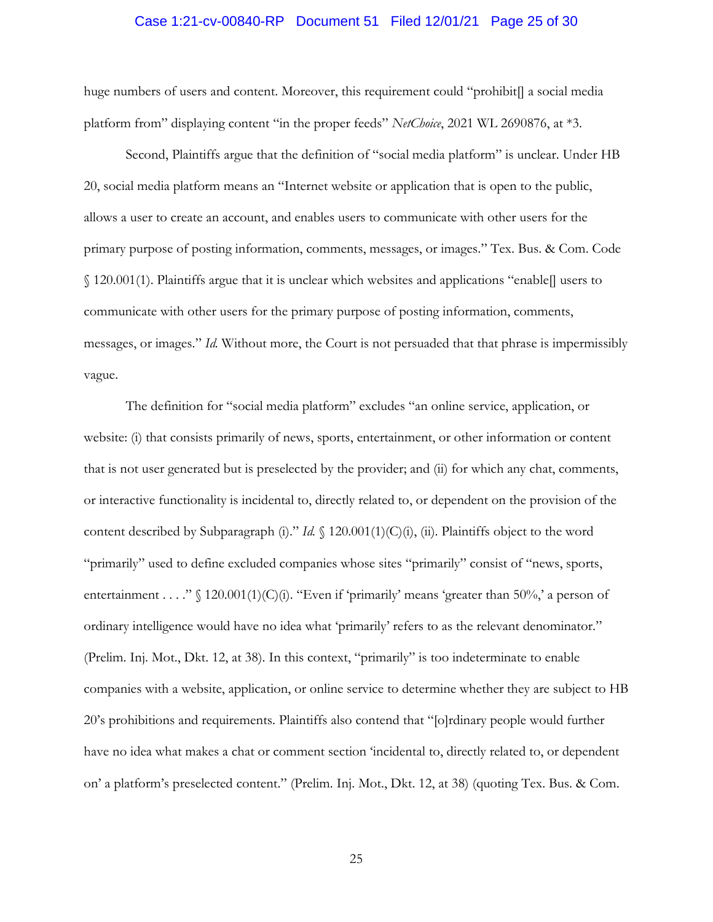### Case 1:21-cv-00840-RP Document 51 Filed 12/01/21 Page 25 of 30

huge numbers of users and content. Moreover, this requirement could "prohibit] a social media platform from" displaying content "in the proper feeds" *NetChoice*, 2021 WL 2690876, at \*3.

Second, Plaintiffs argue that the definition of "social media platform" is unclear. Under HB 20, social media platform means an "Internet website or application that is open to the public, allows a user to create an account, and enables users to communicate with other users for the primary purpose of posting information, comments, messages, or images." Tex. Bus. & Com. Code § 120.001(1). Plaintiffs argue that it is unclear which websites and applications "enable[] users to communicate with other users for the primary purpose of posting information, comments, messages, or images." *Id.* Without more, the Court is not persuaded that that phrase is impermissibly vague.

The definition for "social media platform" excludes "an online service, application, or website: (i) that consists primarily of news, sports, entertainment, or other information or content that is not user generated but is preselected by the provider; and (ii) for which any chat, comments, or interactive functionality is incidental to, directly related to, or dependent on the provision of the content described by Subparagraph (i)." *Id.* § 120.001(1)(C)(i), (ii). Plaintiffs object to the word "primarily" used to define excluded companies whose sites "primarily" consist of "news, sports, entertainment . . . " § 120.001(1)(C)(i). "Even if 'primarily' means 'greater than 50%,' a person of ordinary intelligence would have no idea what 'primarily' refers to as the relevant denominator." (Prelim. Inj. Mot., Dkt. 12, at 38). In this context, "primarily" is too indeterminate to enable companies with a website, application, or online service to determine whether they are subject to HB 20's prohibitions and requirements. Plaintiffs also contend that "[o]rdinary people would further have no idea what makes a chat or comment section 'incidental to, directly related to, or dependent on' a platform's preselected content." (Prelim. Inj. Mot., Dkt. 12, at 38) (quoting Tex. Bus. & Com.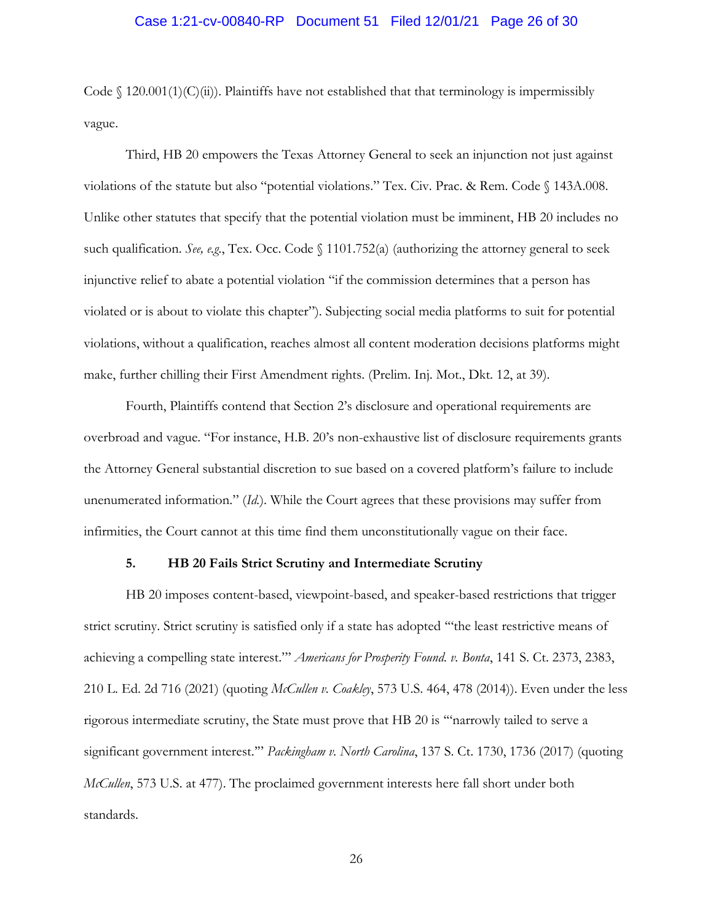# Case 1:21-cv-00840-RP Document 51 Filed 12/01/21 Page 26 of 30

Code  $\int$  120.001(1)(C)(ii)). Plaintiffs have not established that that terminology is impermissibly vague.

Third, HB 20 empowers the Texas Attorney General to seek an injunction not just against violations of the statute but also "potential violations." Tex. Civ. Prac. & Rem. Code § 143A.008. Unlike other statutes that specify that the potential violation must be imminent, HB 20 includes no such qualification. *See, e.g.*, Tex. Occ. Code § 1101.752(a) (authorizing the attorney general to seek injunctive relief to abate a potential violation "if the commission determines that a person has violated or is about to violate this chapter"). Subjecting social media platforms to suit for potential violations, without a qualification, reaches almost all content moderation decisions platforms might make, further chilling their First Amendment rights. (Prelim. Inj. Mot., Dkt. 12, at 39).

Fourth, Plaintiffs contend that Section 2's disclosure and operational requirements are overbroad and vague. "For instance, H.B. 20's non-exhaustive list of disclosure requirements grants the Attorney General substantial discretion to sue based on a covered platform's failure to include unenumerated information." (*Id.*). While the Court agrees that these provisions may suffer from infirmities, the Court cannot at this time find them unconstitutionally vague on their face.

## **5. HB 20 Fails Strict Scrutiny and Intermediate Scrutiny**

HB 20 imposes content-based, viewpoint-based, and speaker-based restrictions that trigger strict scrutiny. Strict scrutiny is satisfied only if a state has adopted '"the least restrictive means of achieving a compelling state interest."' *Americans for Prosperity Found. v. Bonta*, 141 S. Ct. 2373, 2383, 210 L. Ed. 2d 716 (2021) (quoting *McCullen v. Coakley*, 573 U.S. 464, 478 (2014)). Even under the less rigorous intermediate scrutiny, the State must prove that HB 20 is '"narrowly tailed to serve a significant government interest.'" *Packingham v. North Carolina*, 137 S. Ct. 1730, 1736 (2017) (quoting *McCullen*, 573 U.S. at 477). The proclaimed government interests here fall short under both standards.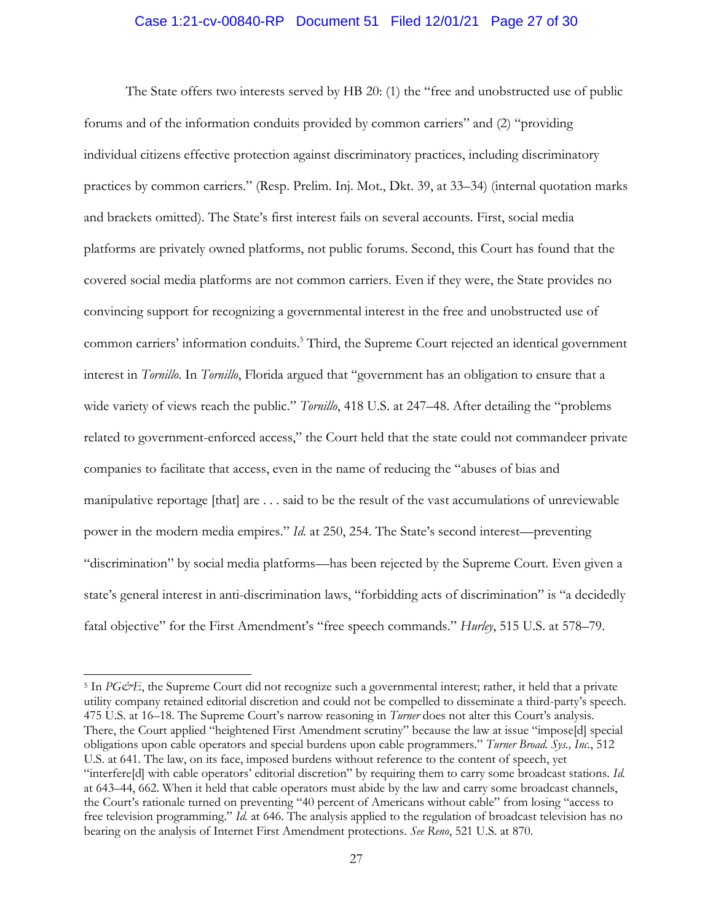## Case 1:21-cv-00840-RP Document 51 Filed 12/01/21 Page 27 of 30

The State offers two interests served by HB 20: (1) the "free and unobstructed use of public forums and of the information conduits provided by common carriers" and (2) "providing individual citizens effective protection against discriminatory practices, including discriminatory practices by common carriers." (Resp. Prelim. Inj. Mot., Dkt. 39, at 33–34) (internal quotation marks and brackets omitted). The State's first interest fails on several accounts. First, social media platforms are privately owned platforms, not public forums. Second, this Court has found that the covered social media platforms are not common carriers. Even if they were, the State provides no convincing support for recognizing a governmental interest in the free and unobstructed use of common carriers' information conduits.<sup>5</sup> Third, the Supreme Court rejected an identical government interest in *Tornillo*. In *Tornillo*, Florida argued that "government has an obligation to ensure that a wide variety of views reach the public." *Tornillo*, 418 U.S. at 247–48. After detailing the "problems related to government-enforced access," the Court held that the state could not commandeer private companies to facilitate that access, even in the name of reducing the "abuses of bias and manipulative reportage [that] are . . . said to be the result of the vast accumulations of unreviewable power in the modern media empires." *Id.* at 250, 254. The State's second interest—preventing "discrimination" by social media platforms—has been rejected by the Supreme Court. Even given a state's general interest in anti-discrimination laws, "forbidding acts of discrimination" is "a decidedly fatal objective" for the First Amendment's "free speech commands." *Hurley*, 515 U.S. at 578–79.

<sup>&</sup>lt;sup>5</sup> In *PG&E*, the Supreme Court did not recognize such a governmental interest; rather, it held that a private utility company retained editorial discretion and could not be compelled to disseminate a third-party's speech. 475 U.S. at 16–18. The Supreme Court's narrow reasoning in *Turner* does not alter this Court's analysis. There, the Court applied "heightened First Amendment scrutiny" because the law at issue "impose[d] special obligations upon cable operators and special burdens upon cable programmers." *Turner Broad. Sys., Inc.*, 512 U.S. at 641. The law, on its face, imposed burdens without reference to the content of speech, yet "interfere[d] with cable operators' editorial discretion" by requiring them to carry some broadcast stations. *Id.*  at 643–44, 662. When it held that cable operators must abide by the law and carry some broadcast channels, the Court's rationale turned on preventing "40 percent of Americans without cable" from losing "access to free television programming." *Id.* at 646. The analysis applied to the regulation of broadcast television has no bearing on the analysis of Internet First Amendment protections. *See Reno*, 521 U.S. at 870.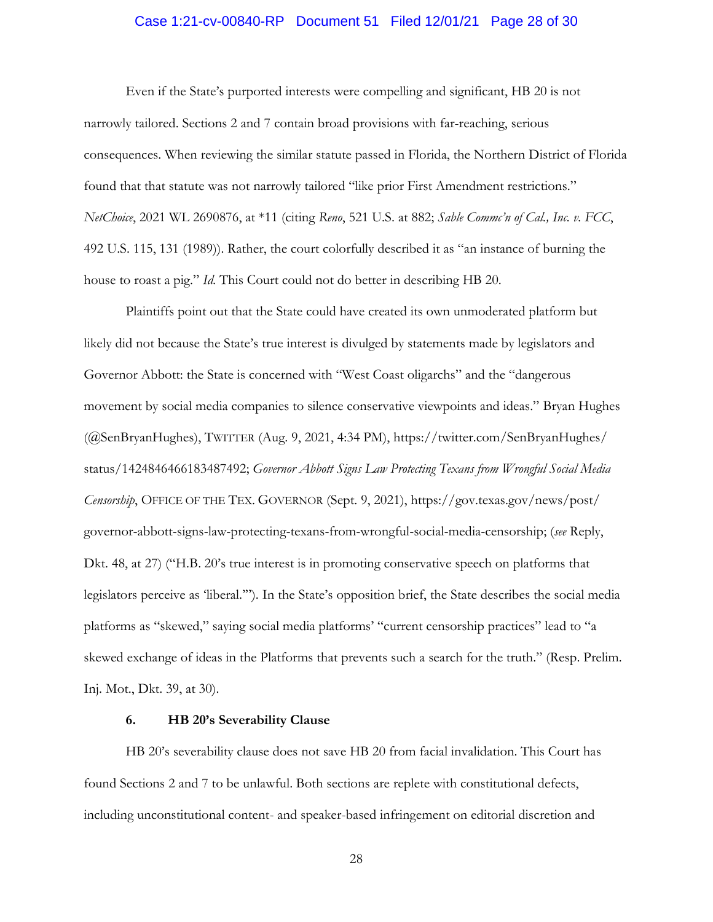# Case 1:21-cv-00840-RP Document 51 Filed 12/01/21 Page 28 of 30

Even if the State's purported interests were compelling and significant, HB 20 is not narrowly tailored. Sections 2 and 7 contain broad provisions with far-reaching, serious consequences. When reviewing the similar statute passed in Florida, the Northern District of Florida found that that statute was not narrowly tailored "like prior First Amendment restrictions." *NetChoice*, 2021 WL 2690876, at \*11 (citing *Reno*, 521 U.S. at 882; *Sable Commc'n of Cal., Inc. v. FCC*, 492 U.S. 115, 131 (1989)). Rather, the court colorfully described it as "an instance of burning the house to roast a pig." *Id.* This Court could not do better in describing HB 20.

Plaintiffs point out that the State could have created its own unmoderated platform but likely did not because the State's true interest is divulged by statements made by legislators and Governor Abbott: the State is concerned with "West Coast oligarchs" and the "dangerous movement by social media companies to silence conservative viewpoints and ideas." Bryan Hughes (@SenBryanHughes), TWITTER (Aug. 9, 2021, 4:34 PM), https://twitter.com/SenBryanHughes/ status/1424846466183487492; *Governor Abbott Signs Law Protecting Texans from Wrongful Social Media Censorship*, OFFICE OF THE TEX. GOVERNOR (Sept. 9, 2021), https://gov.texas.gov/news/post/ governor-abbott-signs-law-protecting-texans-from-wrongful-social-media-censorship; (*see* Reply, Dkt. 48, at 27) ("H.B. 20's true interest is in promoting conservative speech on platforms that legislators perceive as 'liberal.'"). In the State's opposition brief, the State describes the social media platforms as "skewed," saying social media platforms' "current censorship practices" lead to "a skewed exchange of ideas in the Platforms that prevents such a search for the truth." (Resp. Prelim. Inj. Mot., Dkt. 39, at 30).

#### **6. HB 20's Severability Clause**

HB 20's severability clause does not save HB 20 from facial invalidation. This Court has found Sections 2 and 7 to be unlawful. Both sections are replete with constitutional defects, including unconstitutional content- and speaker-based infringement on editorial discretion and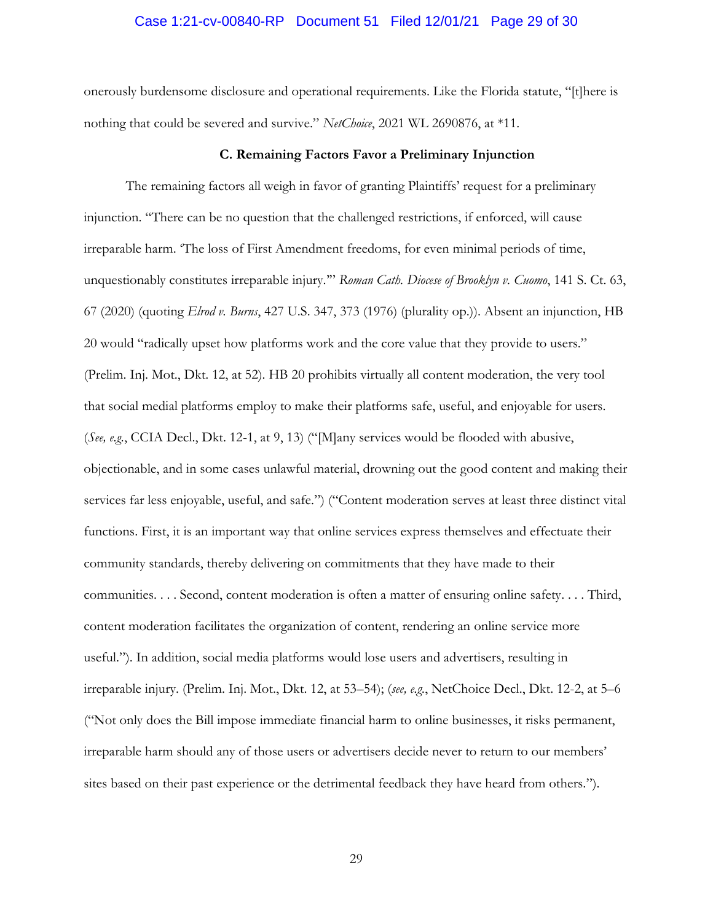#### Case 1:21-cv-00840-RP Document 51 Filed 12/01/21 Page 29 of 30

onerously burdensome disclosure and operational requirements. Like the Florida statute, "[t]here is nothing that could be severed and survive." *NetChoice*, 2021 WL 2690876, at \*11.

#### **C. Remaining Factors Favor a Preliminary Injunction**

The remaining factors all weigh in favor of granting Plaintiffs' request for a preliminary injunction. "There can be no question that the challenged restrictions, if enforced, will cause irreparable harm. 'The loss of First Amendment freedoms, for even minimal periods of time, unquestionably constitutes irreparable injury.'" *Roman Cath. Diocese of Brooklyn v. Cuomo*, 141 S. Ct. 63, 67 (2020) (quoting *Elrod v. Burns*, 427 U.S. 347, 373 (1976) (plurality op.)). Absent an injunction, HB 20 would "radically upset how platforms work and the core value that they provide to users." (Prelim. Inj. Mot., Dkt. 12, at 52). HB 20 prohibits virtually all content moderation, the very tool that social medial platforms employ to make their platforms safe, useful, and enjoyable for users. (*See, e.g.*, CCIA Decl., Dkt. 12-1, at 9, 13) ("[M]any services would be flooded with abusive, objectionable, and in some cases unlawful material, drowning out the good content and making their services far less enjoyable, useful, and safe.") ("Content moderation serves at least three distinct vital functions. First, it is an important way that online services express themselves and effectuate their community standards, thereby delivering on commitments that they have made to their communities. . . . Second, content moderation is often a matter of ensuring online safety. . . . Third, content moderation facilitates the organization of content, rendering an online service more useful."). In addition, social media platforms would lose users and advertisers, resulting in irreparable injury. (Prelim. Inj. Mot., Dkt. 12, at 53–54); (*see, e.g.*, NetChoice Decl., Dkt. 12-2, at 5–6 ("Not only does the Bill impose immediate financial harm to online businesses, it risks permanent, irreparable harm should any of those users or advertisers decide never to return to our members' sites based on their past experience or the detrimental feedback they have heard from others.").